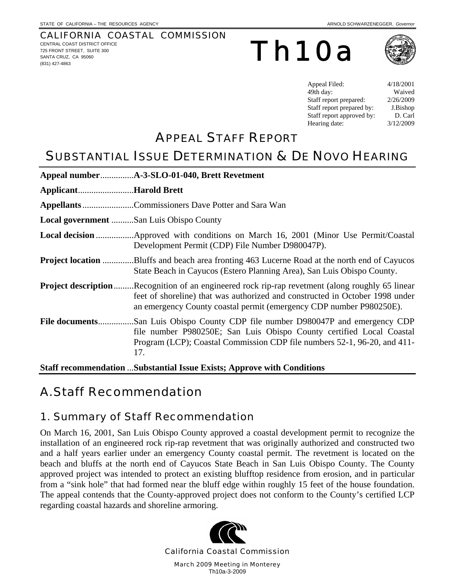### CALIFORNIA COASTAL COMMISSION

CENTRAL COAST DISTRICT OFFICE 725 FRONT STREET, SUITE 300 SANTA CRUZ, CA 95060 (831) 427-4863

Th10a



| Appeal Filed:             | 4/18/2001 |
|---------------------------|-----------|
| 49th day:                 | Waived    |
| Staff report prepared:    | 2/26/2009 |
| Staff report prepared by: | J.Bishop  |
| Staff report approved by: | D. Carl   |
| Hearing date:             | 3/12/2009 |

# APPEAL STAFF REPORT

# SUBSTANTIAL ISSUE DETERMINATION & DE NOVO HEARING

| ApplicantHarold Brett                   |                                                                                                                                                                                                                                                                |
|-----------------------------------------|----------------------------------------------------------------------------------------------------------------------------------------------------------------------------------------------------------------------------------------------------------------|
|                                         | Appellants Commissioners Dave Potter and Sara Wan                                                                                                                                                                                                              |
| Local government San Luis Obispo County |                                                                                                                                                                                                                                                                |
|                                         | Development Permit (CDP) File Number D980047P).                                                                                                                                                                                                                |
|                                         | <b>Project location</b> Bluffs and beach area fronting 463 Lucerne Road at the north end of Cayucos<br>State Beach in Cayucos (Estero Planning Area), San Luis Obispo County.                                                                                  |
|                                         | <b>Project description</b> Recognition of an engineered rock rip-rap revetment (along roughly 65 linear<br>feet of shoreline) that was authorized and constructed in October 1998 under<br>an emergency County coastal permit (emergency CDP number P980250E). |
| File documents                          | San Luis Obispo County CDP file number D980047P and emergency CDP<br>file number P980250E; San Luis Obispo County certified Local Coastal<br>Program (LCP); Coastal Commission CDP file numbers 52-1, 96-20, and 411-<br>17.                                   |
|                                         | <b>Staff recommendation  Substantial Issue Exists; Approve with Conditions</b>                                                                                                                                                                                 |

A. Staff Recommendation

## 1. Summary of Staff Recommendation

On March 16, 2001, San Luis Obispo County approved a coastal development permit to recognize the installation of an engineered rock rip-rap revetment that was originally authorized and constructed two and a half years earlier under an emergency County coastal permit. The revetment is located on the beach and bluffs at the north end of Cayucos State Beach in San Luis Obispo County. The County approved project was intended to protect an existing blufftop residence from erosion, and in particular from a "sink hole" that had formed near the bluff edge within roughly 15 feet of the house foundation. The appeal contends that the County-approved project does not conform to the County's certified LCP regarding coastal hazards and shoreline armoring.

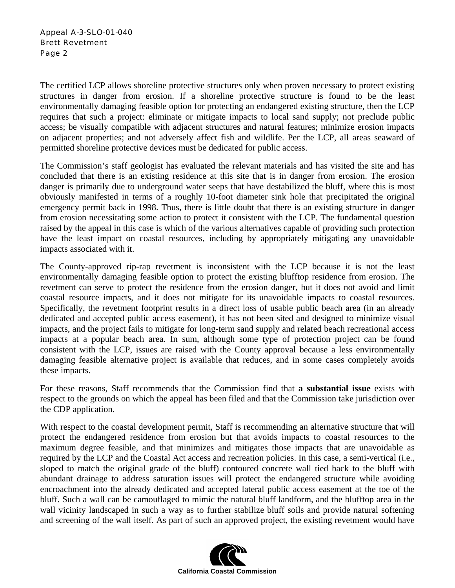The certified LCP allows shoreline protective structures only when proven necessary to protect existing structures in danger from erosion. If a shoreline protective structure is found to be the least environmentally damaging feasible option for protecting an endangered existing structure, then the LCP requires that such a project: eliminate or mitigate impacts to local sand supply; not preclude public access; be visually compatible with adjacent structures and natural features; minimize erosion impacts on adjacent properties; and not adversely affect fish and wildlife. Per the LCP, all areas seaward of permitted shoreline protective devices must be dedicated for public access.

The Commission's staff geologist has evaluated the relevant materials and has visited the site and has concluded that there is an existing residence at this site that is in danger from erosion. The erosion danger is primarily due to underground water seeps that have destabilized the bluff, where this is most obviously manifested in terms of a roughly 10-foot diameter sink hole that precipitated the original emergency permit back in 1998. Thus, there is little doubt that there is an existing structure in danger from erosion necessitating some action to protect it consistent with the LCP. The fundamental question raised by the appeal in this case is which of the various alternatives capable of providing such protection have the least impact on coastal resources, including by appropriately mitigating any unavoidable impacts associated with it.

The County-approved rip-rap revetment is inconsistent with the LCP because it is not the least environmentally damaging feasible option to protect the existing blufftop residence from erosion. The revetment can serve to protect the residence from the erosion danger, but it does not avoid and limit coastal resource impacts, and it does not mitigate for its unavoidable impacts to coastal resources. Specifically, the revetment footprint results in a direct loss of usable public beach area (in an already dedicated and accepted public access easement), it has not been sited and designed to minimize visual impacts, and the project fails to mitigate for long-term sand supply and related beach recreational access impacts at a popular beach area. In sum, although some type of protection project can be found consistent with the LCP, issues are raised with the County approval because a less environmentally damaging feasible alternative project is available that reduces, and in some cases completely avoids these impacts.

For these reasons, Staff recommends that the Commission find that **a substantial issue** exists with respect to the grounds on which the appeal has been filed and that the Commission take jurisdiction over the CDP application.

With respect to the coastal development permit, Staff is recommending an alternative structure that will protect the endangered residence from erosion but that avoids impacts to coastal resources to the maximum degree feasible, and that minimizes and mitigates those impacts that are unavoidable as required by the LCP and the Coastal Act access and recreation policies. In this case, a semi-vertical (i.e., sloped to match the original grade of the bluff) contoured concrete wall tied back to the bluff with abundant drainage to address saturation issues will protect the endangered structure while avoiding encroachment into the already dedicated and accepted lateral public access easement at the toe of the bluff. Such a wall can be camouflaged to mimic the natural bluff landform, and the blufftop area in the wall vicinity landscaped in such a way as to further stabilize bluff soils and provide natural softening and screening of the wall itself. As part of such an approved project, the existing revetment would have

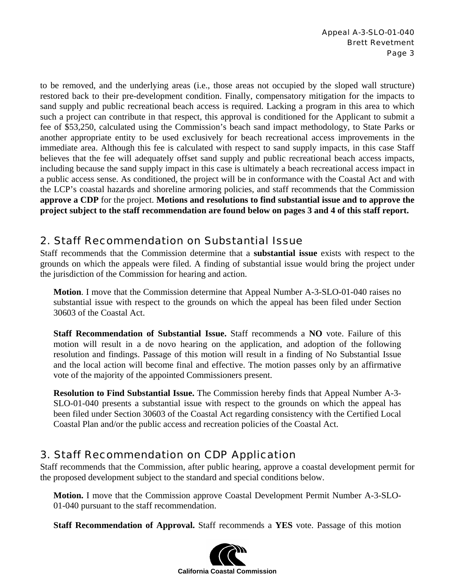to be removed, and the underlying areas (i.e., those areas not occupied by the sloped wall structure) restored back to their pre-development condition. Finally, compensatory mitigation for the impacts to sand supply and public recreational beach access is required. Lacking a program in this area to which such a project can contribute in that respect, this approval is conditioned for the Applicant to submit a fee of \$53,250, calculated using the Commission's beach sand impact methodology, to State Parks or another appropriate entity to be used exclusively for beach recreational access improvements in the immediate area. Although this fee is calculated with respect to sand supply impacts, in this case Staff believes that the fee will adequately offset sand supply and public recreational beach access impacts, including because the sand supply impact in this case is ultimately a beach recreational access impact in a public access sense. As conditioned, the project will be in conformance with the Coastal Act and with the LCP's coastal hazards and shoreline armoring policies, and staff recommends that the Commission **approve a CDP** for the project. **Motions and resolutions to find substantial issue and to approve the project subject to the staff recommendation are found below on pages 3 and 4 of this staff report.** 

## 2. Staff Recommendation on Substantial Issue

Staff recommends that the Commission determine that a **substantial issue** exists with respect to the grounds on which the appeals were filed. A finding of substantial issue would bring the project under the jurisdiction of the Commission for hearing and action.

**Motion**. I move that the Commission determine that Appeal Number A-3-SLO-01-040 raises no substantial issue with respect to the grounds on which the appeal has been filed under Section 30603 of the Coastal Act.

**Staff Recommendation of Substantial Issue.** Staff recommends a **NO** vote. Failure of this motion will result in a de novo hearing on the application, and adoption of the following resolution and findings. Passage of this motion will result in a finding of No Substantial Issue and the local action will become final and effective. The motion passes only by an affirmative vote of the majority of the appointed Commissioners present.

**Resolution to Find Substantial Issue.** The Commission hereby finds that Appeal Number A-3- SLO-01-040 presents a substantial issue with respect to the grounds on which the appeal has been filed under Section 30603 of the Coastal Act regarding consistency with the Certified Local Coastal Plan and/or the public access and recreation policies of the Coastal Act.

## 3. Staff Recommendation on CDP Application

Staff recommends that the Commission, after public hearing, approve a coastal development permit for the proposed development subject to the standard and special conditions below.

**Motion.** I move that the Commission approve Coastal Development Permit Number A-3-SLO-01-040 pursuant to the staff recommendation.

**Staff Recommendation of Approval.** Staff recommends a **YES** vote. Passage of this motion

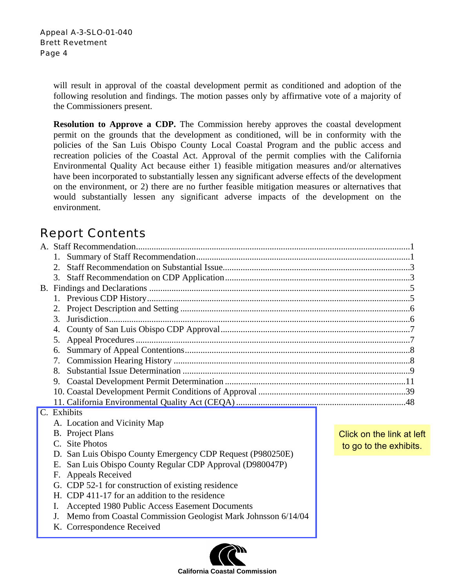> will result in approval of the coastal development permit as conditioned and adoption of the following resolution and findings. The motion passes only by affirmative vote of a majority of the Commissioners present.

> **Resolution to Approve a CDP.** The Commission hereby approves the coastal development permit on the grounds that the development as conditioned, will be in conformity with the policies of the San Luis Obispo County Local Coastal Program and the public access and recreation policies of the Coastal Act. Approval of the permit complies with the California Environmental Quality Act because either 1) feasible mitigation measures and/or alternatives have been incorporated to substantially lessen any significant adverse effects of the development on the environment, or 2) there are no further feasible mitigation measures or alternatives that would substantially lessen any significant adverse impacts of the development on the environment.

# Report Contents

|                                                            | 2. |                                                    |                           |  |
|------------------------------------------------------------|----|----------------------------------------------------|---------------------------|--|
|                                                            |    |                                                    |                           |  |
| B.                                                         |    |                                                    |                           |  |
|                                                            |    |                                                    |                           |  |
|                                                            |    |                                                    |                           |  |
|                                                            | 3. |                                                    |                           |  |
|                                                            | 4. |                                                    |                           |  |
|                                                            |    |                                                    |                           |  |
|                                                            |    |                                                    |                           |  |
|                                                            |    |                                                    |                           |  |
|                                                            | 8. |                                                    |                           |  |
|                                                            |    |                                                    |                           |  |
|                                                            |    |                                                    |                           |  |
|                                                            |    |                                                    |                           |  |
| C. Exhibits                                                |    |                                                    |                           |  |
|                                                            |    | A. Location and Vicinity Map                       |                           |  |
|                                                            |    | <b>B.</b> Project Plans                            | Click on the link at left |  |
|                                                            |    | C. Site Photos                                     | to go to the exhibits.    |  |
| D. San Luis Obispo County Emergency CDP Request (P980250E) |    |                                                    |                           |  |
| E. San Luis Obispo County Regular CDP Approval (D980047P)  |    |                                                    |                           |  |
|                                                            |    | F. Appeals Received                                |                           |  |
|                                                            |    | G. CDP 52-1 for construction of existing residence |                           |  |
|                                                            |    | H. CDP 411-17 for an addition to the residence     |                           |  |

- I. Accepted 1980 Public Access Easement Documents
- J. [Memo from Coastal Commission Geologist Mark Johnsson 6/14/04](http://documents.coastal.ca.gov/reports/2009/3/Th10a-3-2009-a1.pdf)
- K. Correspondence Received

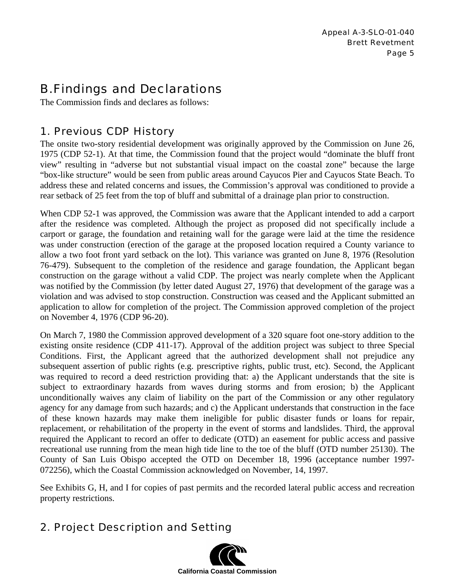# B. Findings and Declarations

The Commission finds and declares as follows:

## 1. Previous CDP History

The onsite two-story residential development was originally approved by the Commission on June 26, 1975 (CDP 52-1). At that time, the Commission found that the project would "dominate the bluff front view" resulting in "adverse but not substantial visual impact on the coastal zone" because the large "box-like structure" would be seen from public areas around Cayucos Pier and Cayucos State Beach. To address these and related concerns and issues, the Commission's approval was conditioned to provide a rear setback of 25 feet from the top of bluff and submittal of a drainage plan prior to construction.

When CDP 52-1 was approved, the Commission was aware that the Applicant intended to add a carport after the residence was completed. Although the project as proposed did not specifically include a carport or garage, the foundation and retaining wall for the garage were laid at the time the residence was under construction (erection of the garage at the proposed location required a County variance to allow a two foot front yard setback on the lot). This variance was granted on June 8, 1976 (Resolution 76-479). Subsequent to the completion of the residence and garage foundation, the Applicant began construction on the garage without a valid CDP. The project was nearly complete when the Applicant was notified by the Commission (by letter dated August 27, 1976) that development of the garage was a violation and was advised to stop construction. Construction was ceased and the Applicant submitted an application to allow for completion of the project. The Commission approved completion of the project on November 4, 1976 (CDP 96-20).

On March 7, 1980 the Commission approved development of a 320 square foot one-story addition to the existing onsite residence (CDP 411-17). Approval of the addition project was subject to three Special Conditions. First, the Applicant agreed that the authorized development shall not prejudice any subsequent assertion of public rights (e.g. prescriptive rights, public trust, etc). Second, the Applicant was required to record a deed restriction providing that: a) the Applicant understands that the site is subject to extraordinary hazards from waves during storms and from erosion; b) the Applicant unconditionally waives any claim of liability on the part of the Commission or any other regulatory agency for any damage from such hazards; and c) the Applicant understands that construction in the face of these known hazards may make them ineligible for public disaster funds or loans for repair, replacement, or rehabilitation of the property in the event of storms and landslides. Third, the approval required the Applicant to record an offer to dedicate (OTD) an easement for public access and passive recreational use running from the mean high tide line to the toe of the bluff (OTD number 25130). The County of San Luis Obispo accepted the OTD on December 18, 1996 (acceptance number 1997- 072256), which the Coastal Commission acknowledged on November, 14, 1997.

See Exhibits G, H, and I for copies of past permits and the recorded lateral public access and recreation property restrictions.

## 2. Project Description and Setting

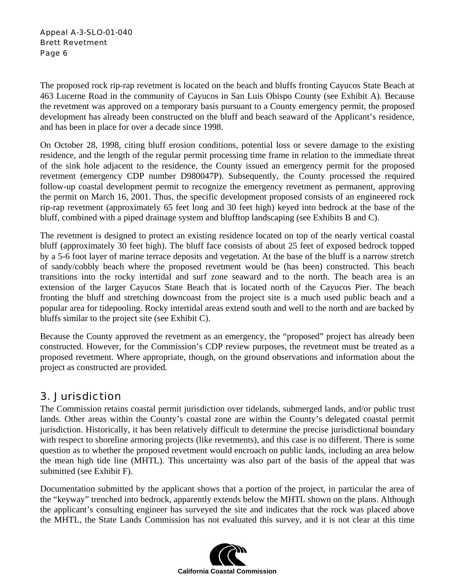The proposed rock rip-rap revetment is located on the beach and bluffs fronting Cayucos State Beach at 463 Lucerne Road in the community of Cayucos in San Luis Obispo County (see Exhibit A). Because the revetment was approved on a temporary basis pursuant to a County emergency permit, the proposed development has already been constructed on the bluff and beach seaward of the Applicant's residence, and has been in place for over a decade since 1998.

On October 28, 1998, citing bluff erosion conditions, potential loss or severe damage to the existing residence, and the length of the regular permit processing time frame in relation to the immediate threat of the sink hole adjacent to the residence, the County issued an emergency permit for the proposed revetment (emergency CDP number D980047P). Subsequently, the County processed the required follow-up coastal development permit to recognize the emergency revetment as permanent, approving the permit on March 16, 2001. Thus, the specific development proposed consists of an engineered rock rip-rap revetment (approximately 65 feet long and 30 feet high) keyed into bedrock at the base of the bluff, combined with a piped drainage system and blufftop landscaping (see Exhibits B and C).

The revetment is designed to protect an existing residence located on top of the nearly vertical coastal bluff (approximately 30 feet high). The bluff face consists of about 25 feet of exposed bedrock topped by a 5-6 foot layer of marine terrace deposits and vegetation. At the base of the bluff is a narrow stretch of sandy/cobbly beach where the proposed revetment would be (has been) constructed. This beach transitions into the rocky intertidal and surf zone seaward and to the north. The beach area is an extension of the larger Cayucos State Beach that is located north of the Cayucos Pier. The beach fronting the bluff and stretching downcoast from the project site is a much used public beach and a popular area for tidepooling. Rocky intertidal areas extend south and well to the north and are backed by bluffs similar to the project site (see Exhibit C).

Because the County approved the revetment as an emergency, the "proposed" project has already been constructed. However, for the Commission's CDP review purposes, the revetment must be treated as a proposed revetment. Where appropriate, though, on the ground observations and information about the project as constructed are provided.

## 3. Jurisdiction

The Commission retains coastal permit jurisdiction over tidelands, submerged lands, and/or public trust lands. Other areas within the County's coastal zone are within the County's delegated coastal permit jurisdiction. Historically, it has been relatively difficult to determine the precise jurisdictional boundary with respect to shoreline armoring projects (like revetments), and this case is no different. There is some question as to whether the proposed revetment would encroach on public lands, including an area below the mean high tide line (MHTL). This uncertainty was also part of the basis of the appeal that was submitted (see Exhibit F).

Documentation submitted by the applicant shows that a portion of the project, in particular the area of the "keyway" trenched into bedrock, apparently extends below the MHTL shown on the plans. Although the applicant's consulting engineer has surveyed the site and indicates that the rock was placed above the MHTL, the State Lands Commission has not evaluated this survey, and it is not clear at this time

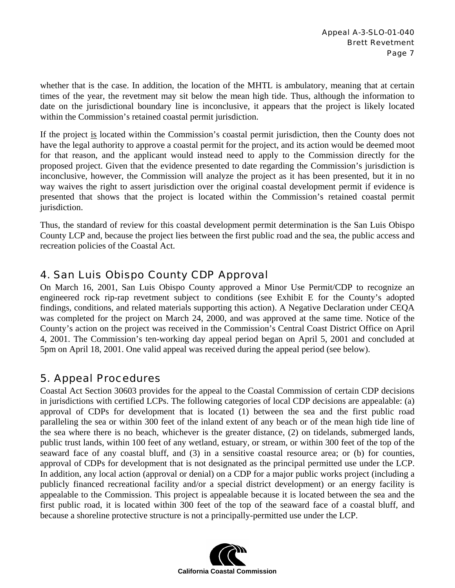whether that is the case. In addition, the location of the MHTL is ambulatory, meaning that at certain times of the year, the revetment may sit below the mean high tide. Thus, although the information to date on the jurisdictional boundary line is inconclusive, it appears that the project is likely located within the Commission's retained coastal permit jurisdiction.

If the project is located within the Commission's coastal permit jurisdiction, then the County does not have the legal authority to approve a coastal permit for the project, and its action would be deemed moot for that reason, and the applicant would instead need to apply to the Commission directly for the proposed project. Given that the evidence presented to date regarding the Commission's jurisdiction is inconclusive, however, the Commission will analyze the project as it has been presented, but it in no way waives the right to assert jurisdiction over the original coastal development permit if evidence is presented that shows that the project is located within the Commission's retained coastal permit jurisdiction.

Thus, the standard of review for this coastal development permit determination is the San Luis Obispo County LCP and, because the project lies between the first public road and the sea, the public access and recreation policies of the Coastal Act.

## 4. San Luis Obispo County CDP Approval

On March 16, 2001, San Luis Obispo County approved a Minor Use Permit/CDP to recognize an engineered rock rip-rap revetment subject to conditions (see Exhibit E for the County's adopted findings, conditions, and related materials supporting this action). A Negative Declaration under CEQA was completed for the project on March 24, 2000, and was approved at the same time. Notice of the County's action on the project was received in the Commission's Central Coast District Office on April 4, 2001. The Commission's ten-working day appeal period began on April 5, 2001 and concluded at 5pm on April 18, 2001. One valid appeal was received during the appeal period (see below).

## 5. Appeal Procedures

Coastal Act Section 30603 provides for the appeal to the Coastal Commission of certain CDP decisions in jurisdictions with certified LCPs. The following categories of local CDP decisions are appealable: (a) approval of CDPs for development that is located (1) between the sea and the first public road paralleling the sea or within 300 feet of the inland extent of any beach or of the mean high tide line of the sea where there is no beach, whichever is the greater distance, (2) on tidelands, submerged lands, public trust lands, within 100 feet of any wetland, estuary, or stream, or within 300 feet of the top of the seaward face of any coastal bluff, and (3) in a sensitive coastal resource area; or (b) for counties, approval of CDPs for development that is not designated as the principal permitted use under the LCP. In addition, any local action (approval or denial) on a CDP for a major public works project (including a publicly financed recreational facility and/or a special district development) or an energy facility is appealable to the Commission. This project is appealable because it is located between the sea and the first public road, it is located within 300 feet of the top of the seaward face of a coastal bluff, and because a shoreline protective structure is not a principally-permitted use under the LCP.

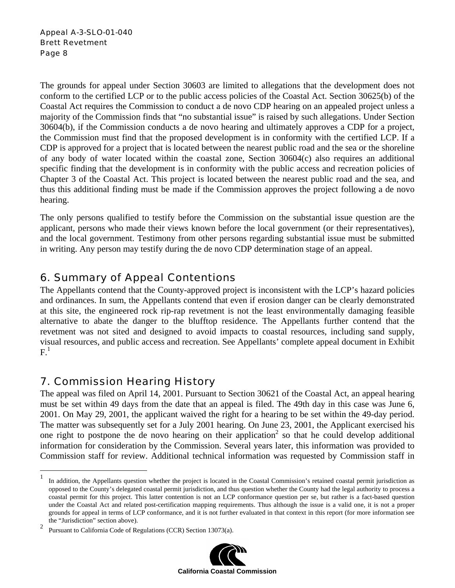The grounds for appeal under Section 30603 are limited to allegations that the development does not conform to the certified LCP or to the public access policies of the Coastal Act. Section 30625(b) of the Coastal Act requires the Commission to conduct a de novo CDP hearing on an appealed project unless a majority of the Commission finds that "no substantial issue" is raised by such allegations. Under Section 30604(b), if the Commission conducts a de novo hearing and ultimately approves a CDP for a project, the Commission must find that the proposed development is in conformity with the certified LCP. If a CDP is approved for a project that is located between the nearest public road and the sea or the shoreline of any body of water located within the coastal zone, Section 30604(c) also requires an additional specific finding that the development is in conformity with the public access and recreation policies of Chapter 3 of the Coastal Act. This project is located between the nearest public road and the sea, and thus this additional finding must be made if the Commission approves the project following a de novo hearing.

The only persons qualified to testify before the Commission on the substantial issue question are the applicant, persons who made their views known before the local government (or their representatives), and the local government. Testimony from other persons regarding substantial issue must be submitted in writing. Any person may testify during the de novo CDP determination stage of an appeal.

## 6. Summary of Appeal Contentions

The Appellants contend that the County-approved project is inconsistent with the LCP's hazard policies and ordinances. In sum, the Appellants contend that even if erosion danger can be clearly demonstrated at this site, the engineered rock rip-rap revetment is not the least environmentally damaging feasible alternative to abate the danger to the blufftop residence. The Appellants further contend that the revetment was not sited and designed to avoid impacts to coastal resources, including sand supply, visual resources, and public access and recreation. See Appellants' complete appeal document in Exhibit  $\mathrm{F.}^1$ 

## 7. Commission Hearing History

1

The appeal was filed on April 14, 2001. Pursuant to Section 30621 of the Coastal Act, an appeal hearing must be set within 49 days from the date that an appeal is filed. The 49th day in this case was June 6, 2001. On May 29, 2001, the applicant waived the right for a hearing to be set within the 49-day period. The matter was subsequently set for a July 2001 hearing. On June 23, 2001, the Applicant exercised his one right to postpone the de novo hearing on their application<sup>2</sup> so that he could develop additional information for consideration by the Commission. Several years later, this information was provided to Commission staff for review. Additional technical information was requested by Commission staff in

<sup>2</sup> Pursuant to California Code of Regulations (CCR) Section 13073(a).



<sup>&</sup>lt;sup>1</sup> In addition, the Appellants question whether the project is located in the Coastal Commission's retained coastal permit jurisdiction as opposed to the County's delegated coastal permit jurisdiction, and thus question whether the County had the legal authority to process a coastal permit for this project. This latter contention is not an LCP conformance question per se, but rather is a fact-based question under the Coastal Act and related post-certification mapping requirements. Thus although the issue is a valid one, it is not a proper grounds for appeal in terms of LCP conformance, and it is not further evaluated in that context in this report (for more information see the "Jurisdiction" section above).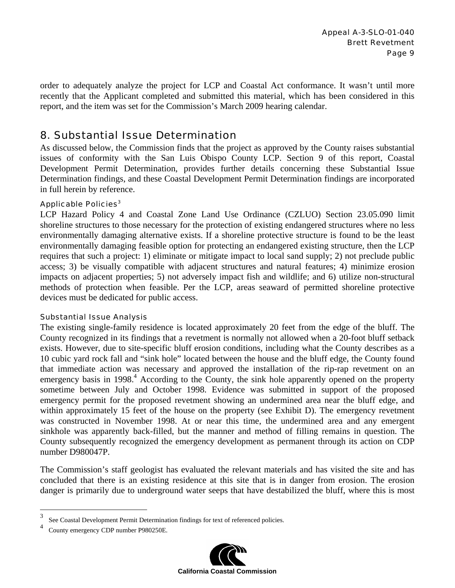order to adequately analyze the project for LCP and Coastal Act conformance. It wasn't until more recently that the Applicant completed and submitted this material, which has been considered in this report, and the item was set for the Commission's March 2009 hearing calendar.

### 8. Substantial Issue Determination

As discussed below, the Commission finds that the project as approved by the County raises substantial issues of conformity with the San Luis Obispo County LCP. Section 9 of this report, Coastal Development Permit Determination, provides further details concerning these Substantial Issue Determination findings, and these Coastal Development Permit Determination findings are incorporated in full herein by reference.

#### Applicable Policies<sup>3</sup>

LCP Hazard Policy 4 and Coastal Zone Land Use Ordinance (CZLUO) Section 23.05.090 limit shoreline structures to those necessary for the protection of existing endangered structures where no less environmentally damaging alternative exists. If a shoreline protective structure is found to be the least environmentally damaging feasible option for protecting an endangered existing structure, then the LCP requires that such a project: 1) eliminate or mitigate impact to local sand supply; 2) not preclude public access; 3) be visually compatible with adjacent structures and natural features; 4) minimize erosion impacts on adjacent properties; 5) not adversely impact fish and wildlife; and 6) utilize non-structural methods of protection when feasible. Per the LCP, areas seaward of permitted shoreline protective devices must be dedicated for public access.

#### Substantial Issue Analysis

The existing single-family residence is located approximately 20 feet from the edge of the bluff. The County recognized in its findings that a revetment is normally not allowed when a 20-foot bluff setback exists. However, due to site-specific bluff erosion conditions, including what the County describes as a 10 cubic yard rock fall and "sink hole" located between the house and the bluff edge, the County found that immediate action was necessary and approved the installation of the rip-rap revetment on an emergency basis in  $1998<sup>4</sup>$  According to the County, the sink hole apparently opened on the property sometime between July and October 1998. Evidence was submitted in support of the proposed emergency permit for the proposed revetment showing an undermined area near the bluff edge, and within approximately 15 feet of the house on the property (see Exhibit D). The emergency revetment was constructed in November 1998. At or near this time, the undermined area and any emergent sinkhole was apparently back-filled, but the manner and method of filling remains in question. The County subsequently recognized the emergency development as permanent through its action on CDP number D980047P.

The Commission's staff geologist has evaluated the relevant materials and has visited the site and has concluded that there is an existing residence at this site that is in danger from erosion. The erosion danger is primarily due to underground water seeps that have destabilized the bluff, where this is most

1



<sup>3</sup> See Coastal Development Permit Determination findings for text of referenced policies.

<sup>4</sup> County emergency CDP number P980250E.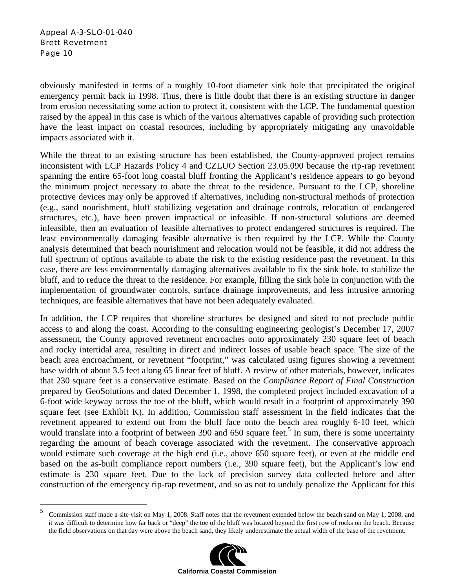obviously manifested in terms of a roughly 10-foot diameter sink hole that precipitated the original emergency permit back in 1998. Thus, there is little doubt that there is an existing structure in danger from erosion necessitating some action to protect it, consistent with the LCP. The fundamental question raised by the appeal in this case is which of the various alternatives capable of providing such protection have the least impact on coastal resources, including by appropriately mitigating any unavoidable impacts associated with it.

While the threat to an existing structure has been established, the County-approved project remains inconsistent with LCP Hazards Policy 4 and CZLUO Section 23.05.090 because the rip-rap revetment spanning the entire 65-foot long coastal bluff fronting the Applicant's residence appears to go beyond the minimum project necessary to abate the threat to the residence. Pursuant to the LCP, shoreline protective devices may only be approved if alternatives, including non-structural methods of protection (e.g., sand nourishment, bluff stabilizing vegetation and drainage controls, relocation of endangered structures, etc.), have been proven impractical or infeasible. If non-structural solutions are deemed infeasible, then an evaluation of feasible alternatives to protect endangered structures is required. The least environmentally damaging feasible alternative is then required by the LCP. While the County analysis determined that beach nourishment and relocation would not be feasible, it did not address the full spectrum of options available to abate the risk to the existing residence past the revetment. In this case, there are less environmentally damaging alternatives available to fix the sink hole, to stabilize the bluff, and to reduce the threat to the residence. For example, filling the sink hole in conjunction with the implementation of groundwater controls, surface drainage improvements, and less intrusive armoring techniques, are feasible alternatives that have not been adequately evaluated.

In addition, the LCP requires that shoreline structures be designed and sited to not preclude public access to and along the coast. According to the consulting engineering geologist's December 17, 2007 assessment, the County approved revetment encroaches onto approximately 230 square feet of beach and rocky intertidal area, resulting in direct and indirect losses of usable beach space. The size of the beach area encroachment, or revetment "footprint," was calculated using figures showing a revetment base width of about 3.5 feet along 65 linear feet of bluff. A review of other materials, however, indicates that 230 square feet is a conservative estimate. Based on the *Compliance Report of Final Construction* prepared by GeoSolutions and dated December 1, 1998, the completed project included excavation of a 6-foot wide keyway across the toe of the bluff, which would result in a footprint of approximately 390 square feet (see Exhibit K). In addition, Commission staff assessment in the field indicates that the revetment appeared to extend out from the bluff face onto the beach area roughly 6-10 feet, which would translate into a footprint of between 390 and 650 square feet.<sup>5</sup> In sum, there is some uncertainty regarding the amount of beach coverage associated with the revetment. The conservative approach would estimate such coverage at the high end (i.e., above 650 square feet), or even at the middle end based on the as-built compliance report numbers (i.e., 390 square feet), but the Applicant's low end estimate is 230 square feet. Due to the lack of precision survey data collected before and after construction of the emergency rip-rap revetment, and so as not to unduly penalize the Applicant for this

<sup>5</sup> 5 Commission staff made a site visit on May 1, 2008. Staff notes that the revetment extended below the beach sand on May 1, 2008, and it was difficult to determine how far back or "deep" the toe of the bluff was located beyond the first row of rocks on the beach. Because the field observations on that day were above the beach sand, they likely underestimate the actual width of the base of the revetment.

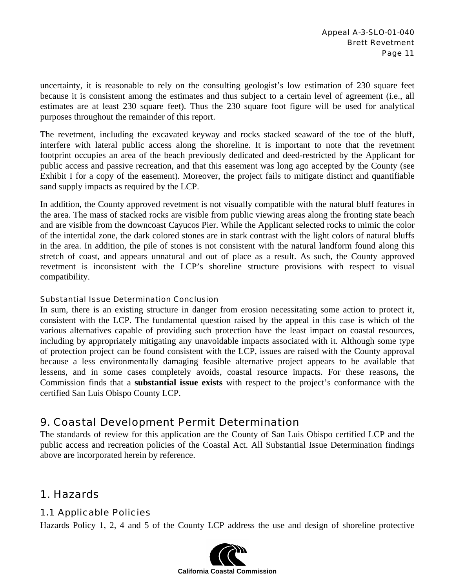uncertainty, it is reasonable to rely on the consulting geologist's low estimation of 230 square feet because it is consistent among the estimates and thus subject to a certain level of agreement (i.e., all estimates are at least 230 square feet). Thus the 230 square foot figure will be used for analytical purposes throughout the remainder of this report.

The revetment, including the excavated keyway and rocks stacked seaward of the toe of the bluff, interfere with lateral public access along the shoreline. It is important to note that the revetment footprint occupies an area of the beach previously dedicated and deed-restricted by the Applicant for public access and passive recreation, and that this easement was long ago accepted by the County (see Exhibit I for a copy of the easement). Moreover, the project fails to mitigate distinct and quantifiable sand supply impacts as required by the LCP.

In addition, the County approved revetment is not visually compatible with the natural bluff features in the area. The mass of stacked rocks are visible from public viewing areas along the fronting state beach and are visible from the downcoast Cayucos Pier. While the Applicant selected rocks to mimic the color of the intertidal zone, the dark colored stones are in stark contrast with the light colors of natural bluffs in the area. In addition, the pile of stones is not consistent with the natural landform found along this stretch of coast, and appears unnatural and out of place as a result. As such, the County approved revetment is inconsistent with the LCP's shoreline structure provisions with respect to visual compatibility.

#### Substantial Issue Determination Conclusion

In sum, there is an existing structure in danger from erosion necessitating some action to protect it, consistent with the LCP. The fundamental question raised by the appeal in this case is which of the various alternatives capable of providing such protection have the least impact on coastal resources, including by appropriately mitigating any unavoidable impacts associated with it. Although some type of protection project can be found consistent with the LCP, issues are raised with the County approval because a less environmentally damaging feasible alternative project appears to be available that lessens, and in some cases completely avoids, coastal resource impacts. For these reasons**,** the Commission finds that a **substantial issue exists** with respect to the project's conformance with the certified San Luis Obispo County LCP.

### 9. Coastal Development Permit Determination

The standards of review for this application are the County of San Luis Obispo certified LCP and the public access and recreation policies of the Coastal Act. All Substantial Issue Determination findings above are incorporated herein by reference.

### 1. Hazards

#### 1.1 Applicable Policies

Hazards Policy 1, 2, 4 and 5 of the County LCP address the use and design of shoreline protective

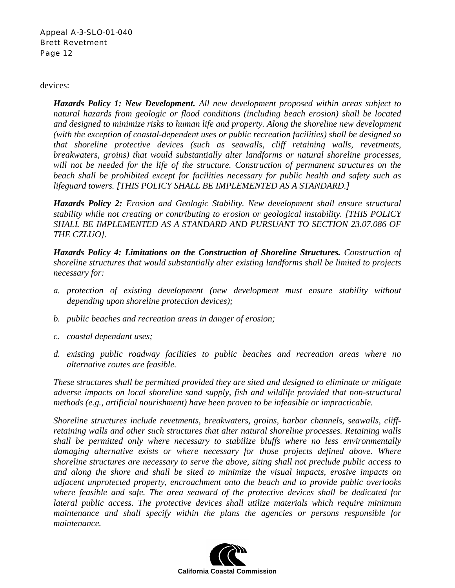devices:

*Hazards Policy 1: New Development. All new development proposed within areas subject to natural hazards from geologic or flood conditions (including beach erosion) shall be located and designed to minimize risks to human life and property. Along the shoreline new development (with the exception of coastal-dependent uses or public recreation facilities) shall be designed so that shoreline protective devices (such as seawalls, cliff retaining walls, revetments, breakwaters, groins) that would substantially alter landforms or natural shoreline processes, will not be needed for the life of the structure. Construction of permanent structures on the beach shall be prohibited except for facilities necessary for public health and safety such as lifeguard towers. [THIS POLICY SHALL BE IMPLEMENTED AS A STANDARD.]*

*Hazards Policy 2: Erosion and Geologic Stability. New development shall ensure structural stability while not creating or contributing to erosion or geological instability. [THIS POLICY SHALL BE IMPLEMENTED AS A STANDARD AND PURSUANT TO SECTION 23.07.086 OF THE CZLUO].* 

*Hazards Policy 4: Limitations on the Construction of Shoreline Structures. Construction of shoreline structures that would substantially alter existing landforms shall be limited to projects necessary for:* 

- *a. protection of existing development (new development must ensure stability without depending upon shoreline protection devices);*
- *b. public beaches and recreation areas in danger of erosion;*
- *c. coastal dependant uses;*
- *d. existing public roadway facilities to public beaches and recreation areas where no alternative routes are feasible.*

*These structures shall be permitted provided they are sited and designed to eliminate or mitigate adverse impacts on local shoreline sand supply, fish and wildlife provided that non-structural methods (e.g., artificial nourishment) have been proven to be infeasible or impracticable.* 

*Shoreline structures include revetments, breakwaters, groins, harbor channels, seawalls, cliffretaining walls and other such structures that alter natural shoreline processes. Retaining walls shall be permitted only where necessary to stabilize bluffs where no less environmentally damaging alternative exists or where necessary for those projects defined above. Where shoreline structures are necessary to serve the above, siting shall not preclude public access to and along the shore and shall be sited to minimize the visual impacts, erosive impacts on adjacent unprotected property, encroachment onto the beach and to provide public overlooks where feasible and safe. The area seaward of the protective devices shall be dedicated for lateral public access. The protective devices shall utilize materials which require minimum maintenance and shall specify within the plans the agencies or persons responsible for maintenance.* 

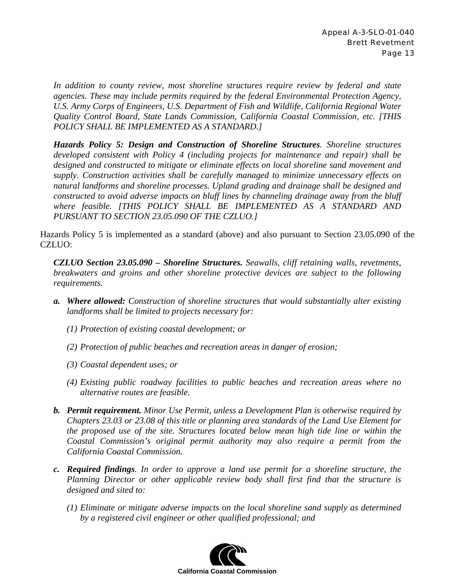*In addition to county review, most shoreline structures require review by federal and state agencies. These may include permits required by the federal Environmental Protection Agency, U.S. Army Corps of Engineers, U.S. Department of Fish and Wildlife, California Regional Water Quality Control Board, State Lands Commission, California Coastal Commission, etc. [THIS POLICY SHALL BE IMPLEMENTED AS A STANDARD.]*

*Hazards Policy 5: Design and Construction of Shoreline Structures. Shoreline structures developed consistent with Policy 4 (including projects for maintenance and repair) shall be designed and constructed to mitigate or eliminate effects on local shoreline sand movement and supply. Construction activities shall be carefully managed to minimize unnecessary effects on natural landforms and shoreline processes. Upland grading and drainage shall be designed and constructed to avoid adverse impacts on bluff lines by channeling drainage away from the bluff where feasible. [THIS POLICY SHALL BE IMPLEMENTED AS A STANDARD AND PURSUANT TO SECTION 23.05.090 OF THE CZLUO.]*

Hazards Policy 5 is implemented as a standard (above) and also pursuant to Section 23.05.090 of the CZLUO:

*CZLUO Section 23.05.090 – Shoreline Structures. Seawalls, cliff retaining walls, revetments, breakwaters and groins and other shoreline protective devices are subject to the following requirements.* 

- *a. Where allowed: Construction of shoreline structures that would substantially alter existing landforms shall be limited to projects necessary for:* 
	- *(1) Protection of existing coastal development; or*
	- *(2) Protection of public beaches and recreation areas in danger of erosion;*
	- *(3) Coastal dependent uses; or*
	- *(4) Existing public roadway facilities to public beaches and recreation areas where no alternative routes are feasible.*
- *b. Permit requirement. Minor Use Permit, unless a Development Plan is otherwise required by Chapters 23.03 or 23.08 of this title or planning area standards of the Land Use Element for the proposed use of the site. Structures located below mean high tide line or within the Coastal Commission's original permit authority may also require a permit from the California Coastal Commission.*
- *c. Required findings. In order to approve a land use permit for a shoreline structure, the Planning Director or other applicable review body shall first find that the structure is designed and sited to:* 
	- *(1) Eliminate or mitigate adverse impacts on the local shoreline sand supply as determined by a registered civil engineer or other qualified professional; and*

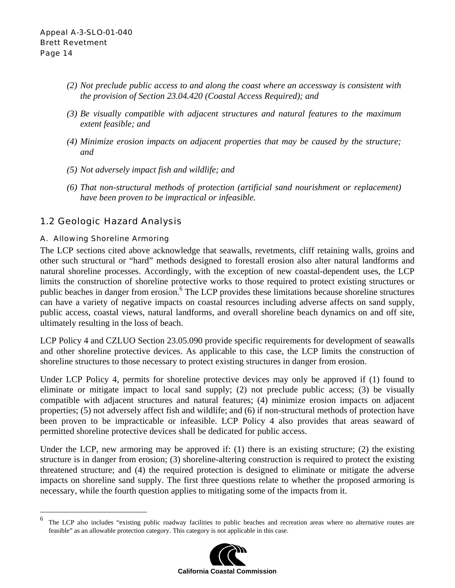- *(2) Not preclude public access to and along the coast where an accessway is consistent with the provision of Section 23.04.420 (Coastal Access Required); and*
- *(3) Be visually compatible with adjacent structures and natural features to the maximum extent feasible; and*
- *(4) Minimize erosion impacts on adjacent properties that may be caused by the structure; and*
- *(5) Not adversely impact fish and wildlife; and*
- *(6) That non-structural methods of protection (artificial sand nourishment or replacement) have been proven to be impractical or infeasible.*

### 1.2 Geologic Hazard Analysis

#### A. Allowing Shoreline Armoring

The LCP sections cited above acknowledge that seawalls, revetments, cliff retaining walls, groins and other such structural or "hard" methods designed to forestall erosion also alter natural landforms and natural shoreline processes. Accordingly, with the exception of new coastal-dependent uses, the LCP limits the construction of shoreline protective works to those required to protect existing structures or public beaches in danger from erosion.<sup>6</sup> The LCP provides these limitations because shoreline structures can have a variety of negative impacts on coastal resources including adverse affects on sand supply, public access, coastal views, natural landforms, and overall shoreline beach dynamics on and off site, ultimately resulting in the loss of beach.

LCP Policy 4 and CZLUO Section 23.05.090 provide specific requirements for development of seawalls and other shoreline protective devices. As applicable to this case, the LCP limits the construction of shoreline structures to those necessary to protect existing structures in danger from erosion.

Under LCP Policy 4, permits for shoreline protective devices may only be approved if (1) found to eliminate or mitigate impact to local sand supply; (2) not preclude public access; (3) be visually compatible with adjacent structures and natural features; (4) minimize erosion impacts on adjacent properties; (5) not adversely affect fish and wildlife; and (6) if non-structural methods of protection have been proven to be impracticable or infeasible. LCP Policy 4 also provides that areas seaward of permitted shoreline protective devices shall be dedicated for public access.

Under the LCP, new armoring may be approved if: (1) there is an existing structure; (2) the existing structure is in danger from erosion; (3) shoreline-altering construction is required to protect the existing threatened structure; and (4) the required protection is designed to eliminate or mitigate the adverse impacts on shoreline sand supply. The first three questions relate to whether the proposed armoring is necessary, while the fourth question applies to mitigating some of the impacts from it.

<sup>6</sup> The LCP also includes "existing public roadway facilities to public beaches and recreation areas where no alternative routes are feasible" as an allowable protection category. This category is not applicable in this case.

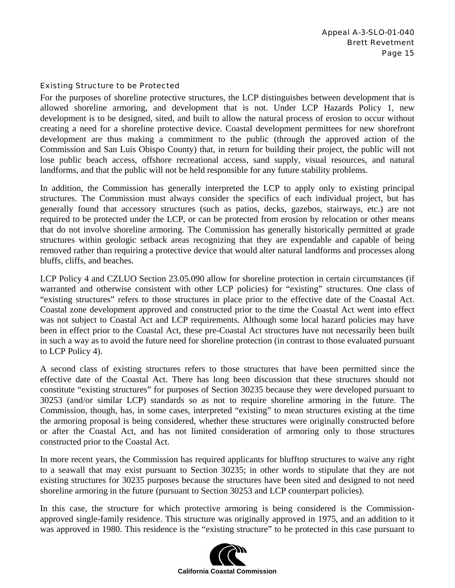#### Existing Structure to be Protected

For the purposes of shoreline protective structures, the LCP distinguishes between development that is allowed shoreline armoring, and development that is not. Under LCP Hazards Policy 1, new development is to be designed, sited, and built to allow the natural process of erosion to occur without creating a need for a shoreline protective device. Coastal development permittees for new shorefront development are thus making a commitment to the public (through the approved action of the Commission and San Luis Obispo County) that, in return for building their project, the public will not lose public beach access, offshore recreational access, sand supply, visual resources, and natural landforms, and that the public will not be held responsible for any future stability problems.

In addition, the Commission has generally interpreted the LCP to apply only to existing principal structures. The Commission must always consider the specifics of each individual project, but has generally found that accessory structures (such as patios, decks, gazebos, stairways, etc.) are not required to be protected under the LCP, or can be protected from erosion by relocation or other means that do not involve shoreline armoring. The Commission has generally historically permitted at grade structures within geologic setback areas recognizing that they are expendable and capable of being removed rather than requiring a protective device that would alter natural landforms and processes along bluffs, cliffs, and beaches.

LCP Policy 4 and CZLUO Section 23.05.090 allow for shoreline protection in certain circumstances (if warranted and otherwise consistent with other LCP policies) for "existing" structures. One class of "existing structures" refers to those structures in place prior to the effective date of the Coastal Act. Coastal zone development approved and constructed prior to the time the Coastal Act went into effect was not subject to Coastal Act and LCP requirements. Although some local hazard policies may have been in effect prior to the Coastal Act, these pre-Coastal Act structures have not necessarily been built in such a way as to avoid the future need for shoreline protection (in contrast to those evaluated pursuant to LCP Policy 4).

A second class of existing structures refers to those structures that have been permitted since the effective date of the Coastal Act. There has long been discussion that these structures should not constitute "existing structures" for purposes of Section 30235 because they were developed pursuant to 30253 (and/or similar LCP) standards so as not to require shoreline armoring in the future. The Commission, though, has, in some cases, interpreted "existing" to mean structures existing at the time the armoring proposal is being considered, whether these structures were originally constructed before or after the Coastal Act, and has not limited consideration of armoring only to those structures constructed prior to the Coastal Act.

In more recent years, the Commission has required applicants for blufftop structures to waive any right to a seawall that may exist pursuant to Section 30235; in other words to stipulate that they are not existing structures for 30235 purposes because the structures have been sited and designed to not need shoreline armoring in the future (pursuant to Section 30253 and LCP counterpart policies).

In this case, the structure for which protective armoring is being considered is the Commissionapproved single-family residence. This structure was originally approved in 1975, and an addition to it was approved in 1980. This residence is the "existing structure" to be protected in this case pursuant to

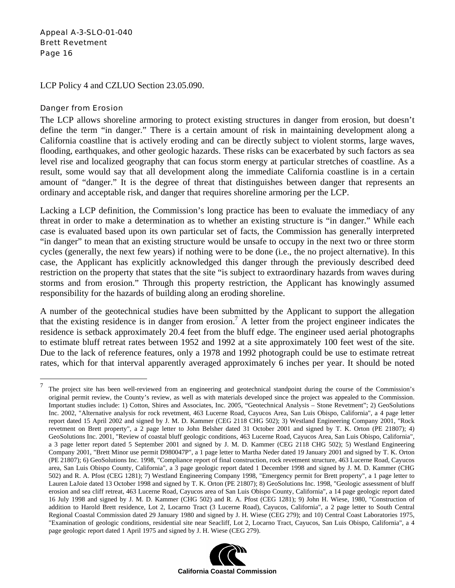LCP Policy 4 and CZLUO Section 23.05.090.

#### Danger from Erosion

1

The LCP allows shoreline armoring to protect existing structures in danger from erosion, but doesn't define the term "in danger." There is a certain amount of risk in maintaining development along a California coastline that is actively eroding and can be directly subject to violent storms, large waves, flooding, earthquakes, and other geologic hazards. These risks can be exacerbated by such factors as sea level rise and localized geography that can focus storm energy at particular stretches of coastline. As a result, some would say that all development along the immediate California coastline is in a certain amount of "danger." It is the degree of threat that distinguishes between danger that represents an ordinary and acceptable risk, and danger that requires shoreline armoring per the LCP.

Lacking a LCP definition, the Commission's long practice has been to evaluate the immediacy of any threat in order to make a determination as to whether an existing structure is "in danger." While each case is evaluated based upon its own particular set of facts, the Commission has generally interpreted "in danger" to mean that an existing structure would be unsafe to occupy in the next two or three storm cycles (generally, the next few years) if nothing were to be done (i.e., the no project alternative). In this case, the Applicant has explicitly acknowledged this danger through the previously described deed restriction on the property that states that the site "is subject to extraordinary hazards from waves during storms and from erosion." Through this property restriction, the Applicant has knowingly assumed responsibility for the hazards of building along an eroding shoreline.

A number of the geotechnical studies have been submitted by the Applicant to support the allegation that the existing residence is in danger from erosion.7 A letter from the project engineer indicates the residence is setback approximately 20.4 feet from the bluff edge. The engineer used aerial photographs to estimate bluff retreat rates between 1952 and 1992 at a site approximately 100 feet west of the site. Due to the lack of reference features, only a 1978 and 1992 photograph could be use to estimate retreat rates, which for that interval apparently averaged approximately 6 inches per year. It should be noted

<sup>&</sup>lt;sup>7</sup> The project site has been well-reviewed from an engineering and geotechnical standpoint during the course of the Commission's original permit review, the County's review, as well as with materials developed since the project was appealed to the Commission. Important studies include: 1) Cotton, Shires and Associates, Inc. 2005, "Geotechnical Analysis – Stone Revetment"; 2) GeoSolutions Inc. 2002, "Alternative analysis for rock revetment, 463 Lucerne Road, Cayucos Area, San Luis Obispo, California", a 4 page letter report dated 15 April 2002 and signed by J. M. D. Kammer (CEG 2118 CHG 502); 3) Westland Engineering Company 2001, "Rock revetment on Brett property", a 2 page letter to John Belsher dated 31 October 2001 and signed by T. K. Orton (PE 21807); 4) GeoSolutions Inc. 2001, "Review of coastal bluff geologic conditions, 463 Lucerne Road, Cayucos Area, San Luis Obispo, California", a 3 page letter report dated 5 September 2001 and signed by J. M. D. Kammer (CEG 2118 CHG 502); 5) Westland Engineering Company 2001, "Brett Minor use permit D980047P", a 1 page letter to Martha Neder dated 19 January 2001 and signed by T. K. Orton (PE 21807); 6) GeoSolutions Inc. 1998, "Compliance report of final construction, rock revetment structure, 463 Lucerne Road, Cayucos area, San Luis Obispo County, California", a 3 page geologic report dated 1 December 1998 and signed by J. M. D. Kammer (CHG 502) and R. A. Pfost (CEG 1281); 7) Westland Engineering Company 1998, "Emergency permit for Brett property", a 1 page letter to Lauren LaJoie dated 13 October 1998 and signed by T. K. Orton (PE 21807); 8) GeoSolutions Inc. 1998, "Geologic assessment of bluff erosion and sea cliff retreat, 463 Lucerne Road, Cayucos area of San Luis Obispo County, California", a 14 page geologic report dated 16 July 1998 and signed by J. M. D. Kammer (CHG 502) and R. A. Pfost (CEG 1281); 9) John H. Wiese, 1980, "Construction of addition to Harold Brett residence, Lot 2, Locarno Tract (3 Lucerne Road), Cayucos, California", a 2 page letter to South Central Regional Coastal Commission dated 29 January 1980 and signed by J. H. Wiese (CEG 279); and 10) Central Coast Laboratories 1975, "Examination of geologic conditions, residential site near Seacliff, Lot 2, Locarno Tract, Cayucos, San Luis Obispo, California", a 4 page geologic report dated 1 April 1975 and signed by J. H. Wiese (CEG 279).

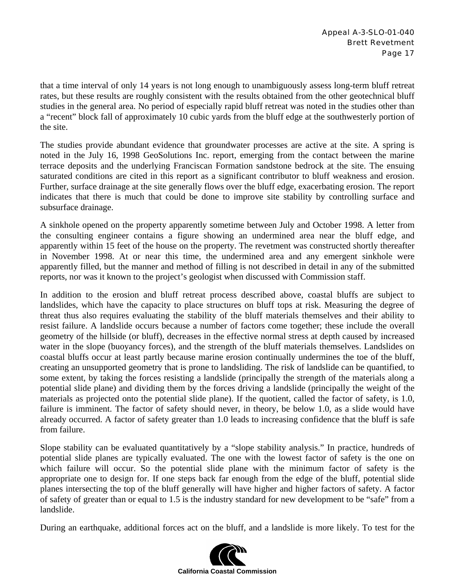that a time interval of only 14 years is not long enough to unambiguously assess long-term bluff retreat rates, but these results are roughly consistent with the results obtained from the other geotechnical bluff studies in the general area. No period of especially rapid bluff retreat was noted in the studies other than a "recent" block fall of approximately 10 cubic yards from the bluff edge at the southwesterly portion of the site.

The studies provide abundant evidence that groundwater processes are active at the site. A spring is noted in the July 16, 1998 GeoSolutions Inc. report, emerging from the contact between the marine terrace deposits and the underlying Franciscan Formation sandstone bedrock at the site. The ensuing saturated conditions are cited in this report as a significant contributor to bluff weakness and erosion. Further, surface drainage at the site generally flows over the bluff edge, exacerbating erosion. The report indicates that there is much that could be done to improve site stability by controlling surface and subsurface drainage.

A sinkhole opened on the property apparently sometime between July and October 1998. A letter from the consulting engineer contains a figure showing an undermined area near the bluff edge, and apparently within 15 feet of the house on the property. The revetment was constructed shortly thereafter in November 1998. At or near this time, the undermined area and any emergent sinkhole were apparently filled, but the manner and method of filling is not described in detail in any of the submitted reports, nor was it known to the project's geologist when discussed with Commission staff.

In addition to the erosion and bluff retreat process described above, coastal bluffs are subject to landslides, which have the capacity to place structures on bluff tops at risk. Measuring the degree of threat thus also requires evaluating the stability of the bluff materials themselves and their ability to resist failure. A landslide occurs because a number of factors come together; these include the overall geometry of the hillside (or bluff), decreases in the effective normal stress at depth caused by increased water in the slope (buoyancy forces), and the strength of the bluff materials themselves. Landslides on coastal bluffs occur at least partly because marine erosion continually undermines the toe of the bluff, creating an unsupported geometry that is prone to landsliding. The risk of landslide can be quantified, to some extent, by taking the forces resisting a landslide (principally the strength of the materials along a potential slide plane) and dividing them by the forces driving a landslide (principally the weight of the materials as projected onto the potential slide plane). If the quotient, called the factor of safety, is 1.0, failure is imminent. The factor of safety should never, in theory, be below 1.0, as a slide would have already occurred. A factor of safety greater than 1.0 leads to increasing confidence that the bluff is safe from failure.

Slope stability can be evaluated quantitatively by a "slope stability analysis." In practice, hundreds of potential slide planes are typically evaluated. The one with the lowest factor of safety is the one on which failure will occur. So the potential slide plane with the minimum factor of safety is the appropriate one to design for. If one steps back far enough from the edge of the bluff, potential slide planes intersecting the top of the bluff generally will have higher and higher factors of safety. A factor of safety of greater than or equal to 1.5 is the industry standard for new development to be "safe" from a landslide.

During an earthquake, additional forces act on the bluff, and a landslide is more likely. To test for the

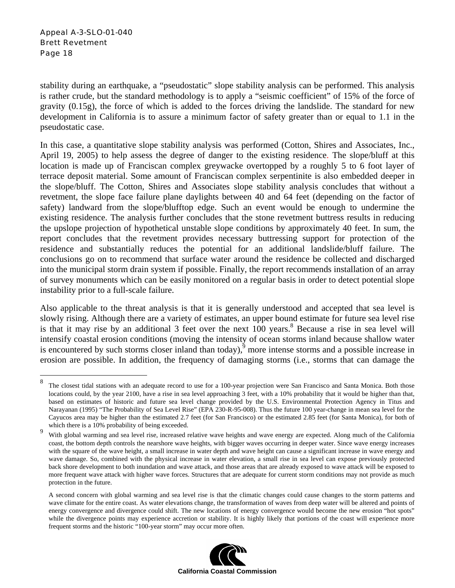1

stability during an earthquake, a "pseudostatic" slope stability analysis can be performed. This analysis is rather crude, but the standard methodology is to apply a "seismic coefficient" of 15% of the force of gravity (0.15g), the force of which is added to the forces driving the landslide. The standard for new development in California is to assure a minimum factor of safety greater than or equal to 1.1 in the pseudostatic case.

In this case, a quantitative slope stability analysis was performed (Cotton, Shires and Associates, Inc., April 19, 2005) to help assess the degree of danger to the existing residence. The slope/bluff at this location is made up of Franciscan complex greywacke overtopped by a roughly 5 to 6 foot layer of terrace deposit material. Some amount of Franciscan complex serpentinite is also embedded deeper in the slope/bluff. The Cotton, Shires and Associates slope stability analysis concludes that without a revetment, the slope face failure plane daylights between 40 and 64 feet (depending on the factor of safety) landward from the slope/blufftop edge. Such an event would be enough to undermine the existing residence. The analysis further concludes that the stone revetment buttress results in reducing the upslope projection of hypothetical unstable slope conditions by approximately 40 feet. In sum, the report concludes that the revetment provides necessary buttressing support for protection of the residence and substantially reduces the potential for an additional landslide/bluff failure. The conclusions go on to recommend that surface water around the residence be collected and discharged into the municipal storm drain system if possible. Finally, the report recommends installation of an array of survey monuments which can be easily monitored on a regular basis in order to detect potential slope instability prior to a full-scale failure.

Also applicable to the threat analysis is that it is generally understood and accepted that sea level is slowly rising. Although there are a variety of estimates, an upper bound estimate for future sea level rise is that it may rise by an additional 3 feet over the next  $100$  years.<sup>8</sup> Because a rise in sea level will intensify coastal erosion conditions (moving the intensity of ocean storms inland because shallow water is encountered by such storms closer inland than today), $\frac{5}{9}$  more intense storms and a possible increase in erosion are possible. In addition, the frequency of damaging storms (i.e., storms that can damage the

A second concern with global warming and sea level rise is that the climatic changes could cause changes to the storm patterns and wave climate for the entire coast. As water elevations change, the transformation of waves from deep water will be altered and points of energy convergence and divergence could shift. The new locations of energy convergence would become the new erosion "hot spots" while the divergence points may experience accretion or stability. It is highly likely that portions of the coast will experience more frequent storms and the historic "100-year storm" may occur more often.



<sup>&</sup>lt;sup>8</sup> The closest tidal stations with an adequate record to use for a 100-year projection were San Francisco and Santa Monica. Both those locations could, by the year 2100, have a rise in sea level approaching 3 feet, with a 10% probability that it would be higher than that, based on estimates of historic and future sea level change provided by the U.S. Environmental Protection Agency in Titus and Narayanan (1995) "The Probability of Sea Level Rise" (EPA 230-R-95-008). Thus the future 100 year-change in mean sea level for the Cayucos area may be higher than the estimated 2.7 feet (for San Francisco) or the estimated 2.85 feet (for Santa Monica), for both of which there is a 10% probability of being exceeded.

<sup>9</sup> With global warming and sea level rise, increased relative wave heights and wave energy are expected. Along much of the California coast, the bottom depth controls the nearshore wave heights, with bigger waves occurring in deeper water. Since wave energy increases with the square of the wave height, a small increase in water depth and wave height can cause a significant increase in wave energy and wave damage. So, combined with the physical increase in water elevation, a small rise in sea level can expose previously protected back shore development to both inundation and wave attack, and those areas that are already exposed to wave attack will be exposed to more frequent wave attack with higher wave forces. Structures that are adequate for current storm conditions may not provide as much protection in the future.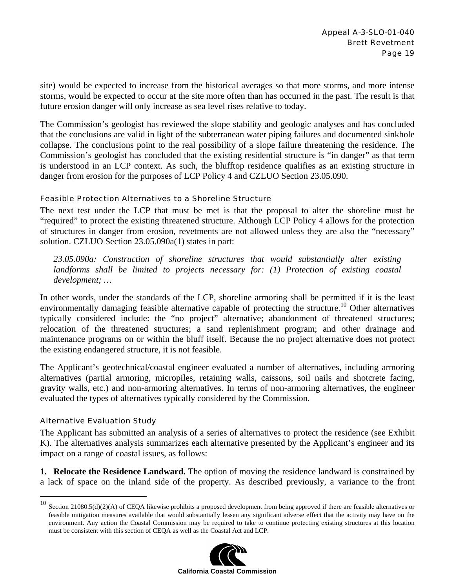site) would be expected to increase from the historical averages so that more storms, and more intense storms, would be expected to occur at the site more often than has occurred in the past. The result is that future erosion danger will only increase as sea level rises relative to today.

The Commission's geologist has reviewed the slope stability and geologic analyses and has concluded that the conclusions are valid in light of the subterranean water piping failures and documented sinkhole collapse. The conclusions point to the real possibility of a slope failure threatening the residence. The Commission's geologist has concluded that the existing residential structure is "in danger" as that term is understood in an LCP context. As such, the blufftop residence qualifies as an existing structure in danger from erosion for the purposes of LCP Policy 4 and CZLUO Section 23.05.090.

#### Feasible Protection Alternatives to a Shoreline Structure

The next test under the LCP that must be met is that the proposal to alter the shoreline must be "required" to protect the existing threatened structure. Although LCP Policy 4 allows for the protection of structures in danger from erosion, revetments are not allowed unless they are also the "necessary" solution. CZLUO Section 23.05.090a(1) states in part:

*23.05.090a: Construction of shoreline structures that would substantially alter existing landforms shall be limited to projects necessary for: (1) Protection of existing coastal development; …* 

In other words, under the standards of the LCP, shoreline armoring shall be permitted if it is the least environmentally damaging feasible alternative capable of protecting the structure.<sup>10</sup> Other alternatives typically considered include: the "no project" alternative; abandonment of threatened structures; relocation of the threatened structures; a sand replenishment program; and other drainage and maintenance programs on or within the bluff itself. Because the no project alternative does not protect the existing endangered structure, it is not feasible.

The Applicant's geotechnical/coastal engineer evaluated a number of alternatives, including armoring alternatives (partial armoring, micropiles, retaining walls, caissons, soil nails and shotcrete facing, gravity walls, etc.) and non-armoring alternatives. In terms of non-armoring alternatives, the engineer evaluated the types of alternatives typically considered by the Commission.

#### Alternative Evaluation Study

 $\overline{a}$ 

The Applicant has submitted an analysis of a series of alternatives to protect the residence (see Exhibit K). The alternatives analysis summarizes each alternative presented by the Applicant's engineer and its impact on a range of coastal issues, as follows:

**1. Relocate the Residence Landward.** The option of moving the residence landward is constrained by a lack of space on the inland side of the property. As described previously, a variance to the front

 $10$  Section 21080.5(d)(2)(A) of CEQA likewise prohibits a proposed development from being approved if there are feasible alternatives or feasible mitigation measures available that would substantially lessen any significant adverse effect that the activity may have on the environment. Any action the Coastal Commission may be required to take to continue protecting existing structures at this location must be consistent with this section of CEQA as well as the Coastal Act and LCP.

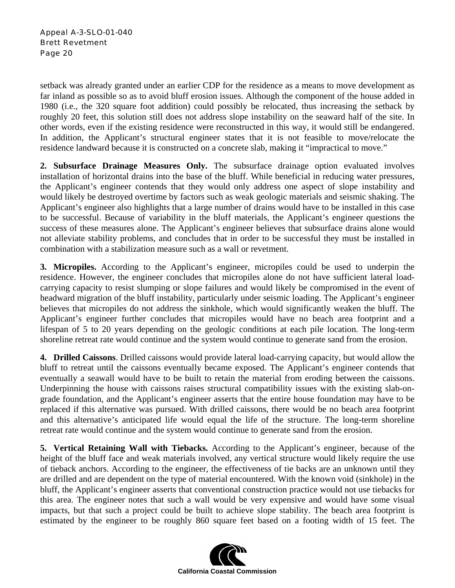setback was already granted under an earlier CDP for the residence as a means to move development as far inland as possible so as to avoid bluff erosion issues. Although the component of the house added in 1980 (i.e., the 320 square foot addition) could possibly be relocated, thus increasing the setback by roughly 20 feet, this solution still does not address slope instability on the seaward half of the site. In other words, even if the existing residence were reconstructed in this way, it would still be endangered. In addition, the Applicant's structural engineer states that it is not feasible to move/relocate the residence landward because it is constructed on a concrete slab, making it "impractical to move."

**2. Subsurface Drainage Measures Only.** The subsurface drainage option evaluated involves installation of horizontal drains into the base of the bluff. While beneficial in reducing water pressures, the Applicant's engineer contends that they would only address one aspect of slope instability and would likely be destroyed overtime by factors such as weak geologic materials and seismic shaking. The Applicant's engineer also highlights that a large number of drains would have to be installed in this case to be successful. Because of variability in the bluff materials, the Applicant's engineer questions the success of these measures alone. The Applicant's engineer believes that subsurface drains alone would not alleviate stability problems, and concludes that in order to be successful they must be installed in combination with a stabilization measure such as a wall or revetment.

**3. Micropiles.** According to the Applicant's engineer, micropiles could be used to underpin the residence. However, the engineer concludes that micropiles alone do not have sufficient lateral loadcarrying capacity to resist slumping or slope failures and would likely be compromised in the event of headward migration of the bluff instability, particularly under seismic loading. The Applicant's engineer believes that micropiles do not address the sinkhole, which would significantly weaken the bluff. The Applicant's engineer further concludes that micropiles would have no beach area footprint and a lifespan of 5 to 20 years depending on the geologic conditions at each pile location. The long-term shoreline retreat rate would continue and the system would continue to generate sand from the erosion.

**4. Drilled Caissons**. Drilled caissons would provide lateral load-carrying capacity, but would allow the bluff to retreat until the caissons eventually became exposed. The Applicant's engineer contends that eventually a seawall would have to be built to retain the material from eroding between the caissons. Underpinning the house with caissons raises structural compatibility issues with the existing slab-ongrade foundation, and the Applicant's engineer asserts that the entire house foundation may have to be replaced if this alternative was pursued. With drilled caissons, there would be no beach area footprint and this alternative's anticipated life would equal the life of the structure. The long-term shoreline retreat rate would continue and the system would continue to generate sand from the erosion.

**5. Vertical Retaining Wall with Tiebacks.** According to the Applicant's engineer, because of the height of the bluff face and weak materials involved, any vertical structure would likely require the use of tieback anchors. According to the engineer, the effectiveness of tie backs are an unknown until they are drilled and are dependent on the type of material encountered. With the known void (sinkhole) in the bluff, the Applicant's engineer asserts that conventional construction practice would not use tiebacks for this area. The engineer notes that such a wall would be very expensive and would have some visual impacts, but that such a project could be built to achieve slope stability. The beach area footprint is estimated by the engineer to be roughly 860 square feet based on a footing width of 15 feet. The

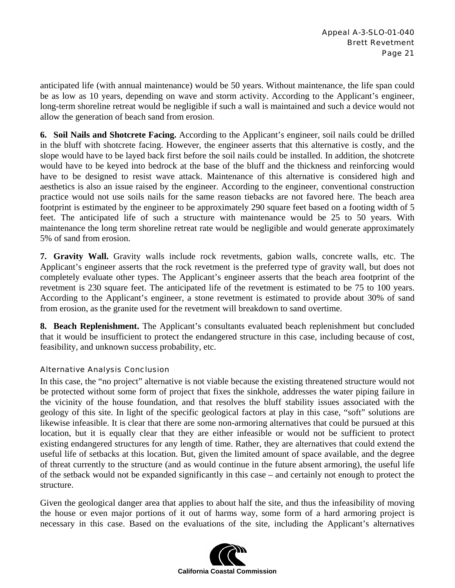anticipated life (with annual maintenance) would be 50 years. Without maintenance, the life span could be as low as 10 years, depending on wave and storm activity. According to the Applicant's engineer, long-term shoreline retreat would be negligible if such a wall is maintained and such a device would not allow the generation of beach sand from erosion.

**6. Soil Nails and Shotcrete Facing.** According to the Applicant's engineer, soil nails could be drilled in the bluff with shotcrete facing. However, the engineer asserts that this alternative is costly, and the slope would have to be layed back first before the soil nails could be installed. In addition, the shotcrete would have to be keyed into bedrock at the base of the bluff and the thickness and reinforcing would have to be designed to resist wave attack. Maintenance of this alternative is considered high and aesthetics is also an issue raised by the engineer. According to the engineer, conventional construction practice would not use soils nails for the same reason tiebacks are not favored here. The beach area footprint is estimated by the engineer to be approximately 290 square feet based on a footing width of 5 feet. The anticipated life of such a structure with maintenance would be 25 to 50 years. With maintenance the long term shoreline retreat rate would be negligible and would generate approximately 5% of sand from erosion.

**7. Gravity Wall.** Gravity walls include rock revetments, gabion walls, concrete walls, etc. The Applicant's engineer asserts that the rock revetment is the preferred type of gravity wall, but does not completely evaluate other types. The Applicant's engineer asserts that the beach area footprint of the revetment is 230 square feet. The anticipated life of the revetment is estimated to be 75 to 100 years. According to the Applicant's engineer, a stone revetment is estimated to provide about 30% of sand from erosion, as the granite used for the revetment will breakdown to sand overtime.

**8. Beach Replenishment.** The Applicant's consultants evaluated beach replenishment but concluded that it would be insufficient to protect the endangered structure in this case, including because of cost, feasibility, and unknown success probability, etc.

#### Alternative Analysis Conclusion

In this case, the "no project" alternative is not viable because the existing threatened structure would not be protected without some form of project that fixes the sinkhole, addresses the water piping failure in the vicinity of the house foundation, and that resolves the bluff stability issues associated with the geology of this site. In light of the specific geological factors at play in this case, "soft" solutions are likewise infeasible. It is clear that there are some non-armoring alternatives that could be pursued at this location, but it is equally clear that they are either infeasible or would not be sufficient to protect existing endangered structures for any length of time. Rather, they are alternatives that could extend the useful life of setbacks at this location. But, given the limited amount of space available, and the degree of threat currently to the structure (and as would continue in the future absent armoring), the useful life of the setback would not be expanded significantly in this case – and certainly not enough to protect the structure.

Given the geological danger area that applies to about half the site, and thus the infeasibility of moving the house or even major portions of it out of harms way, some form of a hard armoring project is necessary in this case. Based on the evaluations of the site, including the Applicant's alternatives

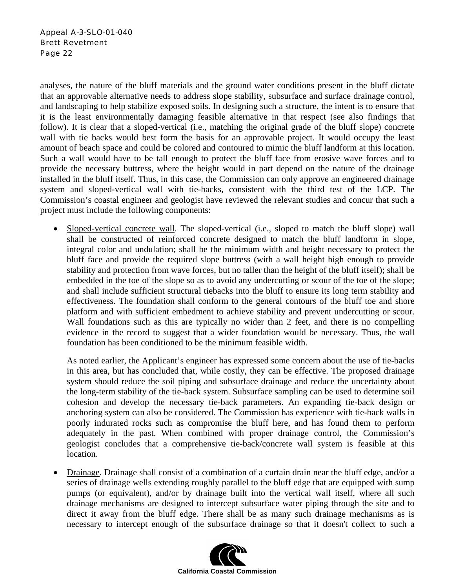analyses, the nature of the bluff materials and the ground water conditions present in the bluff dictate that an approvable alternative needs to address slope stability, subsurface and surface drainage control, and landscaping to help stabilize exposed soils. In designing such a structure, the intent is to ensure that it is the least environmentally damaging feasible alternative in that respect (see also findings that follow). It is clear that a sloped-vertical (i.e., matching the original grade of the bluff slope) concrete wall with tie backs would best form the basis for an approvable project. It would occupy the least amount of beach space and could be colored and contoured to mimic the bluff landform at this location. Such a wall would have to be tall enough to protect the bluff face from erosive wave forces and to provide the necessary buttress, where the height would in part depend on the nature of the drainage installed in the bluff itself. Thus, in this case, the Commission can only approve an engineered drainage system and sloped-vertical wall with tie-backs, consistent with the third test of the LCP. The Commission's coastal engineer and geologist have reviewed the relevant studies and concur that such a project must include the following components:

Sloped-vertical concrete wall. The sloped-vertical (i.e., sloped to match the bluff slope) wall shall be constructed of reinforced concrete designed to match the bluff landform in slope, integral color and undulation; shall be the minimum width and height necessary to protect the bluff face and provide the required slope buttress (with a wall height high enough to provide stability and protection from wave forces, but no taller than the height of the bluff itself); shall be embedded in the toe of the slope so as to avoid any undercutting or scour of the toe of the slope; and shall include sufficient structural tiebacks into the bluff to ensure its long term stability and effectiveness. The foundation shall conform to the general contours of the bluff toe and shore platform and with sufficient embedment to achieve stability and prevent undercutting or scour. Wall foundations such as this are typically no wider than 2 feet, and there is no compelling evidence in the record to suggest that a wider foundation would be necessary. Thus, the wall foundation has been conditioned to be the minimum feasible width.

As noted earlier, the Applicant's engineer has expressed some concern about the use of tie-backs in this area, but has concluded that, while costly, they can be effective. The proposed drainage system should reduce the soil piping and subsurface drainage and reduce the uncertainty about the long-term stability of the tie-back system. Subsurface sampling can be used to determine soil cohesion and develop the necessary tie-back parameters. An expanding tie-back design or anchoring system can also be considered. The Commission has experience with tie-back walls in poorly indurated rocks such as compromise the bluff here, and has found them to perform adequately in the past. When combined with proper drainage control, the Commission's geologist concludes that a comprehensive tie-back/concrete wall system is feasible at this location.

• Drainage. Drainage shall consist of a combination of a curtain drain near the bluff edge, and/or a series of drainage wells extending roughly parallel to the bluff edge that are equipped with sump pumps (or equivalent), and/or by drainage built into the vertical wall itself, where all such drainage mechanisms are designed to intercept subsurface water piping through the site and to direct it away from the bluff edge. There shall be as many such drainage mechanisms as is necessary to intercept enough of the subsurface drainage so that it doesn't collect to such a

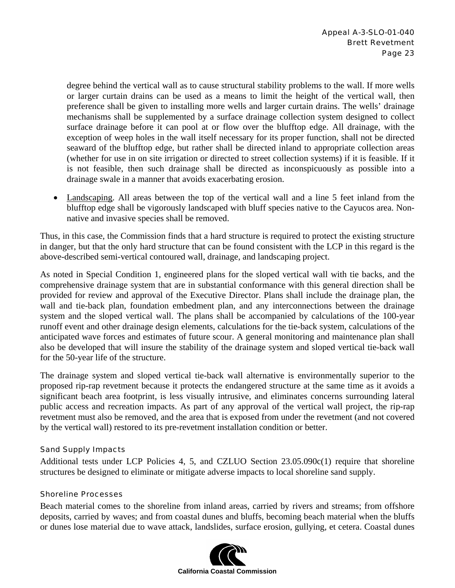degree behind the vertical wall as to cause structural stability problems to the wall. If more wells or larger curtain drains can be used as a means to limit the height of the vertical wall, then preference shall be given to installing more wells and larger curtain drains. The wells' drainage mechanisms shall be supplemented by a surface drainage collection system designed to collect surface drainage before it can pool at or flow over the blufftop edge. All drainage, with the exception of weep holes in the wall itself necessary for its proper function, shall not be directed seaward of the blufftop edge, but rather shall be directed inland to appropriate collection areas (whether for use in on site irrigation or directed to street collection systems) if it is feasible. If it is not feasible, then such drainage shall be directed as inconspicuously as possible into a drainage swale in a manner that avoids exacerbating erosion.

• Landscaping. All areas between the top of the vertical wall and a line 5 feet inland from the blufftop edge shall be vigorously landscaped with bluff species native to the Cayucos area. Nonnative and invasive species shall be removed.

Thus, in this case, the Commission finds that a hard structure is required to protect the existing structure in danger, but that the only hard structure that can be found consistent with the LCP in this regard is the above-described semi-vertical contoured wall, drainage, and landscaping project.

As noted in Special Condition 1, engineered plans for the sloped vertical wall with tie backs, and the comprehensive drainage system that are in substantial conformance with this general direction shall be provided for review and approval of the Executive Director. Plans shall include the drainage plan, the wall and tie-back plan, foundation embedment plan, and any interconnections between the drainage system and the sloped vertical wall. The plans shall be accompanied by calculations of the 100-year runoff event and other drainage design elements, calculations for the tie-back system, calculations of the anticipated wave forces and estimates of future scour. A general monitoring and maintenance plan shall also be developed that will insure the stability of the drainage system and sloped vertical tie-back wall for the 50-year life of the structure.

The drainage system and sloped vertical tie-back wall alternative is environmentally superior to the proposed rip-rap revetment because it protects the endangered structure at the same time as it avoids a significant beach area footprint, is less visually intrusive, and eliminates concerns surrounding lateral public access and recreation impacts. As part of any approval of the vertical wall project, the rip-rap revetment must also be removed, and the area that is exposed from under the revetment (and not covered by the vertical wall) restored to its pre-revetment installation condition or better.

#### Sand Supply Impacts

Additional tests under LCP Policies 4, 5, and CZLUO Section 23.05.090c(1) require that shoreline structures be designed to eliminate or mitigate adverse impacts to local shoreline sand supply.

#### Shoreline Processes

Beach material comes to the shoreline from inland areas, carried by rivers and streams; from offshore deposits, carried by waves; and from coastal dunes and bluffs, becoming beach material when the bluffs or dunes lose material due to wave attack, landslides, surface erosion, gullying, et cetera. Coastal dunes

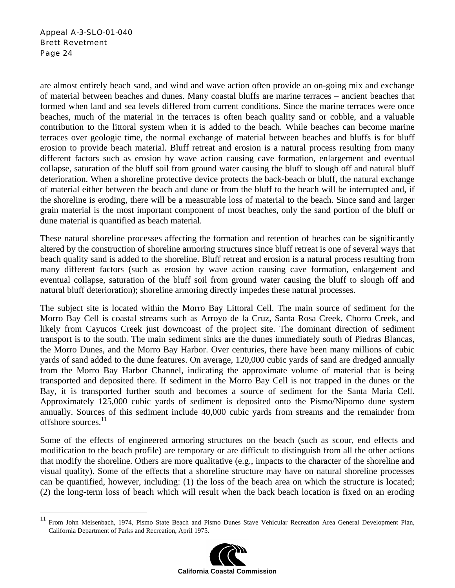are almost entirely beach sand, and wind and wave action often provide an on-going mix and exchange of material between beaches and dunes. Many coastal bluffs are marine terraces – ancient beaches that formed when land and sea levels differed from current conditions. Since the marine terraces were once beaches, much of the material in the terraces is often beach quality sand or cobble, and a valuable contribution to the littoral system when it is added to the beach. While beaches can become marine terraces over geologic time, the normal exchange of material between beaches and bluffs is for bluff erosion to provide beach material. Bluff retreat and erosion is a natural process resulting from many different factors such as erosion by wave action causing cave formation, enlargement and eventual collapse, saturation of the bluff soil from ground water causing the bluff to slough off and natural bluff deterioration. When a shoreline protective device protects the back-beach or bluff, the natural exchange of material either between the beach and dune or from the bluff to the beach will be interrupted and, if the shoreline is eroding, there will be a measurable loss of material to the beach. Since sand and larger grain material is the most important component of most beaches, only the sand portion of the bluff or dune material is quantified as beach material.

These natural shoreline processes affecting the formation and retention of beaches can be significantly altered by the construction of shoreline armoring structures since bluff retreat is one of several ways that beach quality sand is added to the shoreline. Bluff retreat and erosion is a natural process resulting from many different factors (such as erosion by wave action causing cave formation, enlargement and eventual collapse, saturation of the bluff soil from ground water causing the bluff to slough off and natural bluff deterioration); shoreline armoring directly impedes these natural processes.

The subject site is located within the Morro Bay Littoral Cell. The main source of sediment for the Morro Bay Cell is coastal streams such as Arroyo de la Cruz, Santa Rosa Creek, Chorro Creek, and likely from Cayucos Creek just downcoast of the project site. The dominant direction of sediment transport is to the south. The main sediment sinks are the dunes immediately south of Piedras Blancas, the Morro Dunes, and the Morro Bay Harbor. Over centuries, there have been many millions of cubic yards of sand added to the dune features. On average, 120,000 cubic yards of sand are dredged annually from the Morro Bay Harbor Channel, indicating the approximate volume of material that is being transported and deposited there. If sediment in the Morro Bay Cell is not trapped in the dunes or the Bay, it is transported further south and becomes a source of sediment for the Santa Maria Cell. Approximately 125,000 cubic yards of sediment is deposited onto the Pismo/Nipomo dune system annually. Sources of this sediment include 40,000 cubic yards from streams and the remainder from offshore sources.<sup>11</sup>

Some of the effects of engineered armoring structures on the beach (such as scour, end effects and modification to the beach profile) are temporary or are difficult to distinguish from all the other actions that modify the shoreline. Others are more qualitative (e.g., impacts to the character of the shoreline and visual quality). Some of the effects that a shoreline structure may have on natural shoreline processes can be quantified, however, including: (1) the loss of the beach area on which the structure is located; (2) the long-term loss of beach which will result when the back beach location is fixed on an eroding

 $11\,$ <sup>11</sup> From John Meisenbach, 1974, Pismo State Beach and Pismo Dunes Stave Vehicular Recreation Area General Development Plan, California Department of Parks and Recreation, April 1975.

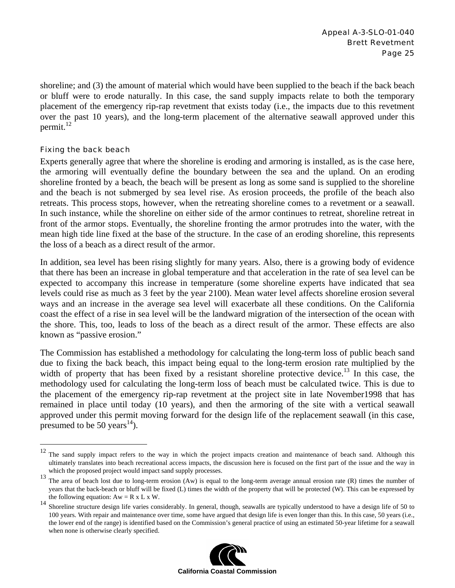shoreline; and (3) the amount of material which would have been supplied to the beach if the back beach or bluff were to erode naturally. In this case, the sand supply impacts relate to both the temporary placement of the emergency rip-rap revetment that exists today (i.e., the impacts due to this revetment over the past 10 years), and the long-term placement of the alternative seawall approved under this permit. $^{12}$ 

#### Fixing the back beach

<u>.</u>

Experts generally agree that where the shoreline is eroding and armoring is installed, as is the case here, the armoring will eventually define the boundary between the sea and the upland. On an eroding shoreline fronted by a beach, the beach will be present as long as some sand is supplied to the shoreline and the beach is not submerged by sea level rise. As erosion proceeds, the profile of the beach also retreats. This process stops, however, when the retreating shoreline comes to a revetment or a seawall. In such instance, while the shoreline on either side of the armor continues to retreat, shoreline retreat in front of the armor stops. Eventually, the shoreline fronting the armor protrudes into the water, with the mean high tide line fixed at the base of the structure. In the case of an eroding shoreline, this represents the loss of a beach as a direct result of the armor.

In addition, sea level has been rising slightly for many years. Also, there is a growing body of evidence that there has been an increase in global temperature and that acceleration in the rate of sea level can be expected to accompany this increase in temperature (some shoreline experts have indicated that sea levels could rise as much as 3 feet by the year 2100). Mean water level affects shoreline erosion several ways and an increase in the average sea level will exacerbate all these conditions. On the California coast the effect of a rise in sea level will be the landward migration of the intersection of the ocean with the shore. This, too, leads to loss of the beach as a direct result of the armor. These effects are also known as "passive erosion."

The Commission has established a methodology for calculating the long-term loss of public beach sand due to fixing the back beach, this impact being equal to the long-term erosion rate multiplied by the width of property that has been fixed by a resistant shoreline protective device.<sup>13</sup> In this case, the methodology used for calculating the long-term loss of beach must be calculated twice. This is due to the placement of the emergency rip-rap revetment at the project site in late November1998 that has remained in place until today (10 years), and then the armoring of the site with a vertical seawall approved under this permit moving forward for the design life of the replacement seawall (in this case, presumed to be 50 years<sup>14</sup>).

<sup>&</sup>lt;sup>14</sup> Shoreline structure design life varies considerably. In general, though, seawalls are typically understood to have a design life of 50 to the Second Life of 50 to the Second Life of 50 to the Second Life of Second Lif 100 years. With repair and maintenance over time, some have argued that design life is even longer than this. In this case, 50 years (i.e., the lower end of the range) is identified based on the Commission's general practice of using an estimated 50-year lifetime for a seawall when none is otherwise clearly specified.



<sup>&</sup>lt;sup>12</sup> The sand supply impact refers to the way in which the project impacts creation and maintenance of beach sand. Although this ultimately translates into beach recreational access impacts, the discussion here is focused on the first part of the issue and the way in which the proposed project would impact sand supply processes.

<sup>&</sup>lt;sup>13</sup> The area of beach lost due to long-term erosion (Aw) is equal to the long-term average annual erosion rate (R) times the number of years that the back-beach or bluff will be fixed (L) times the width of the property that will be protected (W). This can be expressed by the following equation:  $Aw = R \times L \times W$ .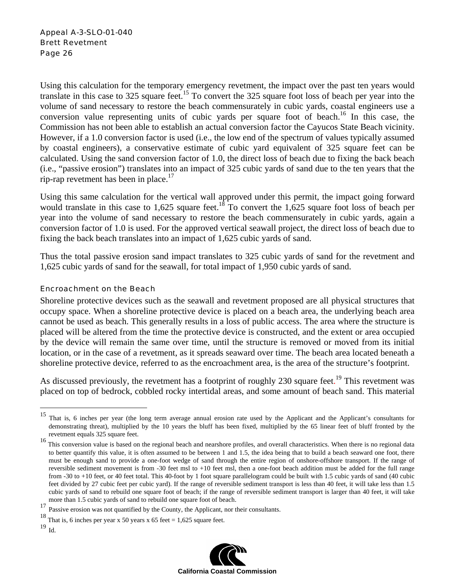Using this calculation for the temporary emergency revetment, the impact over the past ten years would translate in this case to 325 square feet.<sup>15</sup> To convert the 325 square foot loss of beach per year into the volume of sand necessary to restore the beach commensurately in cubic yards, coastal engineers use a conversion value representing units of cubic yards per square foot of beach.<sup>16</sup> In this case, the Commission has not been able to establish an actual conversion factor the Cayucos State Beach vicinity. However, if a 1.0 conversion factor is used (i.e., the low end of the spectrum of values typically assumed by coastal engineers), a conservative estimate of cubic yard equivalent of 325 square feet can be calculated. Using the sand conversion factor of 1.0, the direct loss of beach due to fixing the back beach (i.e., "passive erosion") translates into an impact of 325 cubic yards of sand due to the ten years that the rip-rap revetment has been in place.<sup>17</sup>

Using this same calculation for the vertical wall approved under this permit, the impact going forward would translate in this case to 1,625 square feet.<sup>18</sup> To convert the 1,625 square foot loss of beach per year into the volume of sand necessary to restore the beach commensurately in cubic yards, again a conversion factor of 1.0 is used. For the approved vertical seawall project, the direct loss of beach due to fixing the back beach translates into an impact of 1,625 cubic yards of sand.

Thus the total passive erosion sand impact translates to 325 cubic yards of sand for the revetment and 1,625 cubic yards of sand for the seawall, for total impact of 1,950 cubic yards of sand.

#### Encroachment on the Beach

Shoreline protective devices such as the seawall and revetment proposed are all physical structures that occupy space. When a shoreline protective device is placed on a beach area, the underlying beach area cannot be used as beach. This generally results in a loss of public access. The area where the structure is placed will be altered from the time the protective device is constructed, and the extent or area occupied by the device will remain the same over time, until the structure is removed or moved from its initial location, or in the case of a revetment, as it spreads seaward over time. The beach area located beneath a shoreline protective device, referred to as the encroachment area, is the area of the structure's footprint.

As discussed previously, the revetment has a footprint of roughly 230 square feet.<sup>19</sup> This revetment was placed on top of bedrock, cobbled rocky intertidal areas, and some amount of beach sand. This material

 $\overline{a}$ 



<sup>15</sup> That is, 6 inches per year (the long term average annual erosion rate used by the Applicant and the Applicant's consultants for demonstrating threat), multiplied by the 10 years the bluff has been fixed, multiplied by the 65 linear feet of bluff fronted by the revetment equals 325 square feet.

<sup>&</sup>lt;sup>16</sup> This conversion value is based on the regional beach and nearshore profiles, and overall characteristics. When there is no regional data to better quantify this value, it is often assumed to be between 1 and 1.5, the idea being that to build a beach seaward one foot, there must be enough sand to provide a one-foot wedge of sand through the entire region of onshore-offshore transport. If the range of reversible sediment movement is from -30 feet msl to +10 feet msl, then a one-foot beach addition must be added for the full range from -30 to +10 feet, or 40 feet total. This 40-foot by 1 foot square parallelogram could be built with 1.5 cubic yards of sand (40 cubic feet divided by 27 cubic feet per cubic yard). If the range of reversible sediment transport is less than 40 feet, it will take less than 1.5 cubic yards of sand to rebuild one square foot of beach; if the range of reversible sediment transport is larger than 40 feet, it will take more than 1.5 cubic yards of sand to rebuild one square foot of beach.

<sup>17</sup> Passive erosion was not quantified by the County, the Applicant, nor their consultants.

<sup>&</sup>lt;sup>18</sup> That is, 6 inches per year x 50 years x 65 feet = 1,625 square feet.

<sup>19</sup> Id.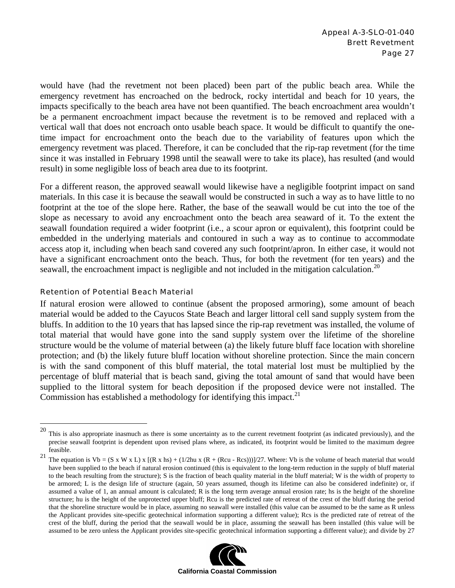would have (had the revetment not been placed) been part of the public beach area. While the emergency revetment has encroached on the bedrock, rocky intertidal and beach for 10 years, the impacts specifically to the beach area have not been quantified. The beach encroachment area wouldn't be a permanent encroachment impact because the revetment is to be removed and replaced with a vertical wall that does not encroach onto usable beach space. It would be difficult to quantify the onetime impact for encroachment onto the beach due to the variability of features upon which the emergency revetment was placed. Therefore, it can be concluded that the rip-rap revetment (for the time since it was installed in February 1998 until the seawall were to take its place), has resulted (and would result) in some negligible loss of beach area due to its footprint.

For a different reason, the approved seawall would likewise have a negligible footprint impact on sand materials. In this case it is because the seawall would be constructed in such a way as to have little to no footprint at the toe of the slope here. Rather, the base of the seawall would be cut into the toe of the slope as necessary to avoid any encroachment onto the beach area seaward of it. To the extent the seawall foundation required a wider footprint (i.e., a scour apron or equivalent), this footprint could be embedded in the underlying materials and contoured in such a way as to continue to accommodate access atop it, including when beach sand covered any such footprint/apron. In either case, it would not have a significant encroachment onto the beach. Thus, for both the revetment (for ten years) and the seawall, the encroachment impact is negligible and not included in the mitigation calculation.<sup>20</sup>

#### Retention of Potential Beach Material

 $\overline{a}$ 

If natural erosion were allowed to continue (absent the proposed armoring), some amount of beach material would be added to the Cayucos State Beach and larger littoral cell sand supply system from the bluffs. In addition to the 10 years that has lapsed since the rip-rap revetment was installed, the volume of total material that would have gone into the sand supply system over the lifetime of the shoreline structure would be the volume of material between (a) the likely future bluff face location with shoreline protection; and (b) the likely future bluff location without shoreline protection. Since the main concern is with the sand component of this bluff material, the total material lost must be multiplied by the percentage of bluff material that is beach sand, giving the total amount of sand that would have been supplied to the littoral system for beach deposition if the proposed device were not installed. The Commission has established a methodology for identifying this impact.<sup>21</sup>

<sup>&</sup>lt;sup>21</sup> The equation is Vb = (S x W x L) x [(R x hs) + (1/2hu x (R + (Rcu - Rcs)))]/27. Where: Vb is the volume of beach material that would have been supplied to the beach if natural erosion continued (this is equivalent to the long-term reduction in the supply of bluff material to the beach resulting from the structure); S is the fraction of beach quality material in the bluff material; W is the width of property to be armored; L is the design life of structure (again, 50 years assumed, though its lifetime can also be considered indefinite) or, if assumed a value of 1, an annual amount is calculated; R is the long term average annual erosion rate; hs is the height of the shoreline structure; hu is the height of the unprotected upper bluff; Rcu is the predicted rate of retreat of the crest of the bluff during the period that the shoreline structure would be in place, assuming no seawall were installed (this value can be assumed to be the same as R unless the Applicant provides site-specific geotechnical information supporting a different value); Rcs is the predicted rate of retreat of the crest of the bluff, during the period that the seawall would be in place, assuming the seawall has been installed (this value will be assumed to be zero unless the Applicant provides site-specific geotechnical information supporting a different value); and divide by 27



 $20$  This is also appropriate inasmuch as there is some uncertainty as to the current revetment footprint (as indicated previously), and the precise seawall footprint is dependent upon revised plans where, as indicated, its footprint would be limited to the maximum degree feasible.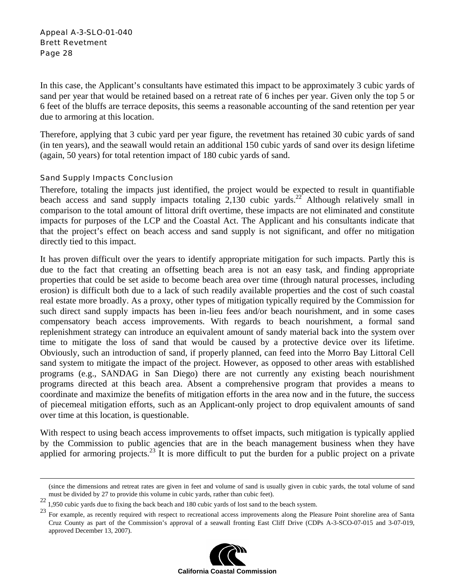In this case, the Applicant's consultants have estimated this impact to be approximately 3 cubic yards of sand per year that would be retained based on a retreat rate of 6 inches per year. Given only the top 5 or 6 feet of the bluffs are terrace deposits, this seems a reasonable accounting of the sand retention per year due to armoring at this location.

Therefore, applying that 3 cubic yard per year figure, the revetment has retained 30 cubic yards of sand (in ten years), and the seawall would retain an additional 150 cubic yards of sand over its design lifetime (again, 50 years) for total retention impact of 180 cubic yards of sand.

#### Sand Supply Impacts Conclusion

Therefore, totaling the impacts just identified, the project would be expected to result in quantifiable beach access and sand supply impacts totaling  $2,130$  cubic yards.<sup>22</sup> Although relatively small in comparison to the total amount of littoral drift overtime, these impacts are not eliminated and constitute impacts for purposes of the LCP and the Coastal Act. The Applicant and his consultants indicate that that the project's effect on beach access and sand supply is not significant, and offer no mitigation directly tied to this impact.

It has proven difficult over the years to identify appropriate mitigation for such impacts. Partly this is due to the fact that creating an offsetting beach area is not an easy task, and finding appropriate properties that could be set aside to become beach area over time (through natural processes, including erosion) is difficult both due to a lack of such readily available properties and the cost of such coastal real estate more broadly. As a proxy, other types of mitigation typically required by the Commission for such direct sand supply impacts has been in-lieu fees and/or beach nourishment, and in some cases compensatory beach access improvements. With regards to beach nourishment, a formal sand replenishment strategy can introduce an equivalent amount of sandy material back into the system over time to mitigate the loss of sand that would be caused by a protective device over its lifetime. Obviously, such an introduction of sand, if properly planned, can feed into the Morro Bay Littoral Cell sand system to mitigate the impact of the project. However, as opposed to other areas with established programs (e.g., SANDAG in San Diego) there are not currently any existing beach nourishment programs directed at this beach area. Absent a comprehensive program that provides a means to coordinate and maximize the benefits of mitigation efforts in the area now and in the future, the success of piecemeal mitigation efforts, such as an Applicant-only project to drop equivalent amounts of sand over time at this location, is questionable.

With respect to using beach access improvements to offset impacts, such mitigation is typically applied by the Commission to public agencies that are in the beach management business when they have applied for armoring projects.<sup>23</sup> It is more difficult to put the burden for a public project on a private

 $^{22}$  1,950 cubic yards due to fixing the back beach and 180 cubic yards of lost sand to the beach system.<br><sup>23</sup> For example, as recently required with respect to recreational access improvements along the Pleasure Point Cruz County as part of the Commission's approval of a seawall fronting East Cliff Drive (CDPs A-3-SCO-07-015 and 3-07-019, approved December 13, 2007).



 <sup>(</sup>since the dimensions and retreat rates are given in feet and volume of sand is usually given in cubic yards, the total volume of sand must be divided by 27 to provide this volume in cubic yards, rather than cubic feet).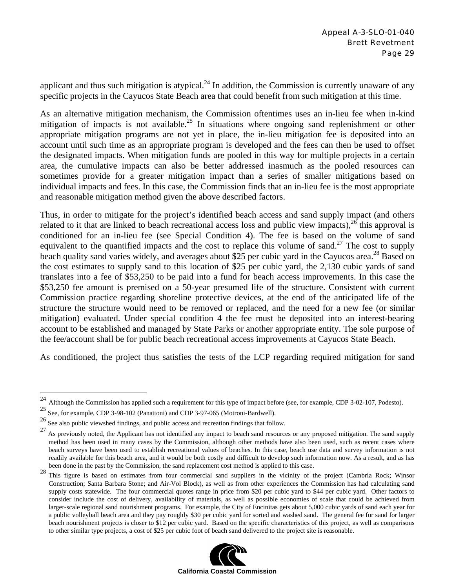applicant and thus such mitigation is atypical. $^{24}$  In addition, the Commission is currently unaware of any specific projects in the Cayucos State Beach area that could benefit from such mitigation at this time.

As an alternative mitigation mechanism, the Commission oftentimes uses an in-lieu fee when in-kind mitigation of impacts is not available.<sup>25</sup> In situations where ongoing sand replenishment or other appropriate mitigation programs are not yet in place, the in-lieu mitigation fee is deposited into an account until such time as an appropriate program is developed and the fees can then be used to offset the designated impacts. When mitigation funds are pooled in this way for multiple projects in a certain area, the cumulative impacts can also be better addressed inasmuch as the pooled resources can sometimes provide for a greater mitigation impact than a series of smaller mitigations based on individual impacts and fees. In this case, the Commission finds that an in-lieu fee is the most appropriate and reasonable mitigation method given the above described factors.

Thus, in order to mitigate for the project's identified beach access and sand supply impact (and others related to it that are linked to beach recreational access loss and public view impacts),  $^{26}$  this approval is conditioned for an in-lieu fee (see Special Condition 4). The fee is based on the volume of sand equivalent to the quantified impacts and the cost to replace this volume of sand.<sup>27</sup> The cost to supply beach quality sand varies widely, and averages about \$25 per cubic yard in the Cayucos area.<sup>28</sup> Based on the cost estimates to supply sand to this location of \$25 per cubic yard, the 2,130 cubic yards of sand translates into a fee of \$53,250 to be paid into a fund for beach access improvements. In this case the \$53,250 fee amount is premised on a 50-year presumed life of the structure. Consistent with current Commission practice regarding shoreline protective devices, at the end of the anticipated life of the structure the structure would need to be removed or replaced, and the need for a new fee (or similar mitigation) evaluated. Under special condition 4 the fee must be deposited into an interest-bearing account to be established and managed by State Parks or another appropriate entity. The sole purpose of the fee/account shall be for public beach recreational access improvements at Cayucos State Beach.

As conditioned, the project thus satisfies the tests of the LCP regarding required mitigation for sand

1

<sup>28</sup> This figure is based on estimates from four commercial sand suppliers in the vicinity of the project (Cambria Rock; Winsor Construction; Santa Barbara Stone; and Air-Vol Block), as well as from other experiences the Commission has had calculating sand supply costs statewide. The four commercial quotes range in price from \$20 per cubic yard to \$44 per cubic yard. Other factors to consider include the cost of delivery, availability of materials, as well as possible economies of scale that could be achieved from larger-scale regional sand nourishment programs. For example, the City of Encinitas gets about 5,000 cubic yards of sand each year for a public volleyball beach area and they pay roughly \$30 per cubic yard for sorted and washed sand. The general fee for sand for larger beach nourishment projects is closer to \$12 per cubic yard. Based on the specific characteristics of this project, as well as comparisons to other similar type projects, a cost of \$25 per cubic foot of beach sand delivered to the project site is reasonable.



Although the Commission has applied such a requirement for this type of impact before (see, for example, CDP 3-02-107, Podesto).

<sup>25</sup> See, for example, CDP 3-98-102 (Panattoni) and CDP 3-97-065 (Motroni-Bardwell).

<sup>26</sup> See also public viewshed findings, and public access and recreation findings that follow.

 $27$  As previously noted, the Applicant has not identified any impact to beach sand resources or any proposed mitigation. The sand supply method has been used in many cases by the Commission, although other methods have also been used, such as recent cases where beach surveys have been used to establish recreational values of beaches. In this case, beach use data and survey information is not readily available for this beach area, and it would be both costly and difficult to develop such information now. As a result, and as has been done in the past by the Commission, the sand replacement cost method is applied to this case.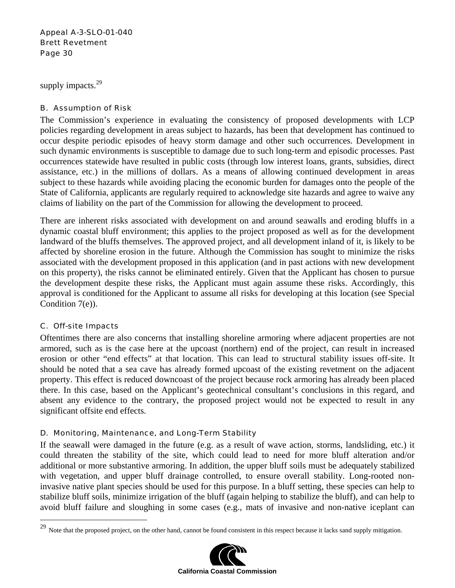supply impacts.<sup>29</sup>

### B. Assumption of Risk

The Commission's experience in evaluating the consistency of proposed developments with LCP policies regarding development in areas subject to hazards, has been that development has continued to occur despite periodic episodes of heavy storm damage and other such occurrences. Development in such dynamic environments is susceptible to damage due to such long-term and episodic processes. Past occurrences statewide have resulted in public costs (through low interest loans, grants, subsidies, direct assistance, etc.) in the millions of dollars. As a means of allowing continued development in areas subject to these hazards while avoiding placing the economic burden for damages onto the people of the State of California, applicants are regularly required to acknowledge site hazards and agree to waive any claims of liability on the part of the Commission for allowing the development to proceed.

There are inherent risks associated with development on and around seawalls and eroding bluffs in a dynamic coastal bluff environment; this applies to the project proposed as well as for the development landward of the bluffs themselves. The approved project, and all development inland of it, is likely to be affected by shoreline erosion in the future. Although the Commission has sought to minimize the risks associated with the development proposed in this application (and in past actions with new development on this property), the risks cannot be eliminated entirely. Given that the Applicant has chosen to pursue the development despite these risks, the Applicant must again assume these risks. Accordingly, this approval is conditioned for the Applicant to assume all risks for developing at this location (see Special Condition 7(e)).

#### C. Off-site Impacts

 $\overline{a}$ 

Oftentimes there are also concerns that installing shoreline armoring where adjacent properties are not armored, such as is the case here at the upcoast (northern) end of the project, can result in increased erosion or other "end effects" at that location. This can lead to structural stability issues off-site. It should be noted that a sea cave has already formed upcoast of the existing revetment on the adjacent property. This effect is reduced downcoast of the project because rock armoring has already been placed there. In this case, based on the Applicant's geotechnical consultant's conclusions in this regard, and absent any evidence to the contrary, the proposed project would not be expected to result in any significant offsite end effects.

#### D. Monitoring, Maintenance, and Long-Term Stability

If the seawall were damaged in the future (e.g. as a result of wave action, storms, landsliding, etc.) it could threaten the stability of the site, which could lead to need for more bluff alteration and/or additional or more substantive armoring. In addition, the upper bluff soils must be adequately stabilized with vegetation, and upper bluff drainage controlled, to ensure overall stability. Long-rooted noninvasive native plant species should be used for this purpose. In a bluff setting, these species can help to stabilize bluff soils, minimize irrigation of the bluff (again helping to stabilize the bluff), and can help to avoid bluff failure and sloughing in some cases (e.g., mats of invasive and non-native iceplant can

<sup>&</sup>lt;sup>29</sup> Note that the proposed project, on the other hand, cannot be found consistent in this respect because it lacks sand supply mitigation.

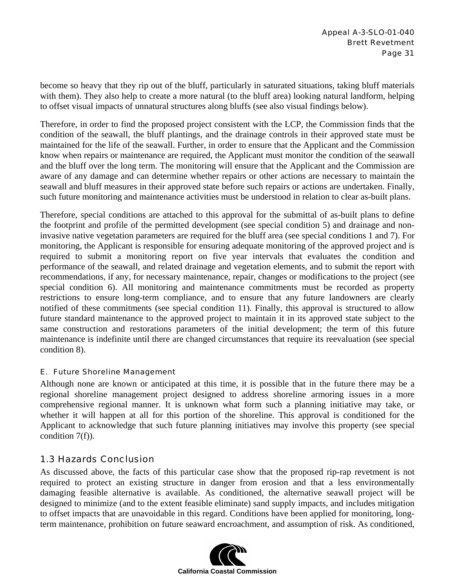become so heavy that they rip out of the bluff, particularly in saturated situations, taking bluff materials with them). They also help to create a more natural (to the bluff area) looking natural landform, helping to offset visual impacts of unnatural structures along bluffs (see also visual findings below).

Therefore, in order to find the proposed project consistent with the LCP, the Commission finds that the condition of the seawall, the bluff plantings, and the drainage controls in their approved state must be maintained for the life of the seawall. Further, in order to ensure that the Applicant and the Commission know when repairs or maintenance are required, the Applicant must monitor the condition of the seawall and the bluff over the long term. The monitoring will ensure that the Applicant and the Commission are aware of any damage and can determine whether repairs or other actions are necessary to maintain the seawall and bluff measures in their approved state before such repairs or actions are undertaken. Finally, such future monitoring and maintenance activities must be understood in relation to clear as-built plans.

Therefore, special conditions are attached to this approval for the submittal of as-built plans to define the footprint and profile of the permitted development (see special condition 5) and drainage and noninvasive native vegetation parameters are required for the bluff area (see special conditions 1 and 7). For monitoring, the Applicant is responsible for ensuring adequate monitoring of the approved project and is required to submit a monitoring report on five year intervals that evaluates the condition and performance of the seawall, and related drainage and vegetation elements, and to submit the report with recommendations, if any, for necessary maintenance, repair, changes or modifications to the project (see special condition 6). All monitoring and maintenance commitments must be recorded as property restrictions to ensure long-term compliance, and to ensure that any future landowners are clearly notified of these commitments (see special condition 11). Finally, this approval is structured to allow future standard maintenance to the approved project to maintain it in its approved state subject to the same construction and restorations parameters of the initial development; the term of this future maintenance is indefinite until there are changed circumstances that require its reevaluation (see special condition 8).

#### E. Future Shoreline Management

Although none are known or anticipated at this time, it is possible that in the future there may be a regional shoreline management project designed to address shoreline armoring issues in a more comprehensive regional manner. It is unknown what form such a planning initiative may take, or whether it will happen at all for this portion of the shoreline. This approval is conditioned for the Applicant to acknowledge that such future planning initiatives may involve this property (see special condition 7(f)).

#### 1.3 Hazards Conclusion

As discussed above, the facts of this particular case show that the proposed rip-rap revetment is not required to protect an existing structure in danger from erosion and that a less environmentally damaging feasible alternative is available. As conditioned, the alternative seawall project will be designed to minimize (and to the extent feasible eliminate) sand supply impacts, and includes mitigation to offset impacts that are unavoidable in this regard. Conditions have been applied for monitoring, longterm maintenance, prohibition on future seaward encroachment, and assumption of risk. As conditioned,

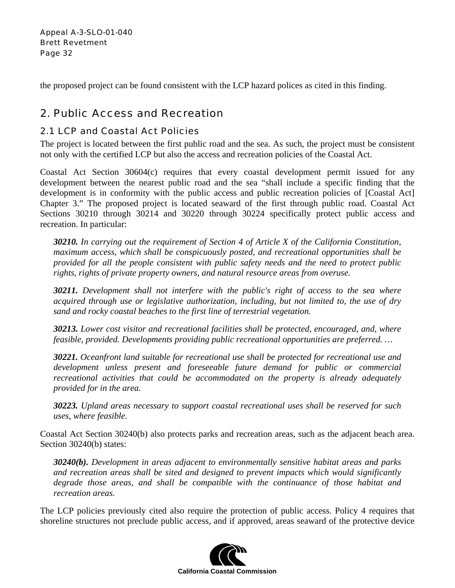the proposed project can be found consistent with the LCP hazard polices as cited in this finding.

## 2. Public Access and Recreation

### 2.1 LCP and Coastal Act Policies

The project is located between the first public road and the sea. As such, the project must be consistent not only with the certified LCP but also the access and recreation policies of the Coastal Act.

Coastal Act Section 30604(c) requires that every coastal development permit issued for any development between the nearest public road and the sea "shall include a specific finding that the development is in conformity with the public access and public recreation policies of [Coastal Act] Chapter 3." The proposed project is located seaward of the first through public road. Coastal Act Sections 30210 through 30214 and 30220 through 30224 specifically protect public access and recreation. In particular:

*30210. In carrying out the requirement of Section 4 of Article X of the California Constitution, maximum access, which shall be conspicuously posted, and recreational opportunities shall be provided for all the people consistent with public safety needs and the need to protect public rights, rights of private property owners, and natural resource areas from overuse.* 

*30211. Development shall not interfere with the public's right of access to the sea where acquired through use or legislative authorization, including, but not limited to, the use of dry sand and rocky coastal beaches to the first line of terrestrial vegetation.* 

*30213. Lower cost visitor and recreational facilities shall be protected, encouraged, and, where feasible, provided. Developments providing public recreational opportunities are preferred. …* 

*30221. Oceanfront land suitable for recreational use shall be protected for recreational use and development unless present and foreseeable future demand for public or commercial recreational activities that could be accommodated on the property is already adequately provided for in the area.* 

*30223. Upland areas necessary to support coastal recreational uses shall be reserved for such uses, where feasible.* 

Coastal Act Section 30240(b) also protects parks and recreation areas, such as the adjacent beach area. Section 30240(b) states:

*30240(b). Development in areas adjacent to environmentally sensitive habitat areas and parks and recreation areas shall be sited and designed to prevent impacts which would significantly degrade those areas, and shall be compatible with the continuance of those habitat and recreation areas.* 

The LCP policies previously cited also require the protection of public access. Policy 4 requires that shoreline structures not preclude public access, and if approved, areas seaward of the protective device

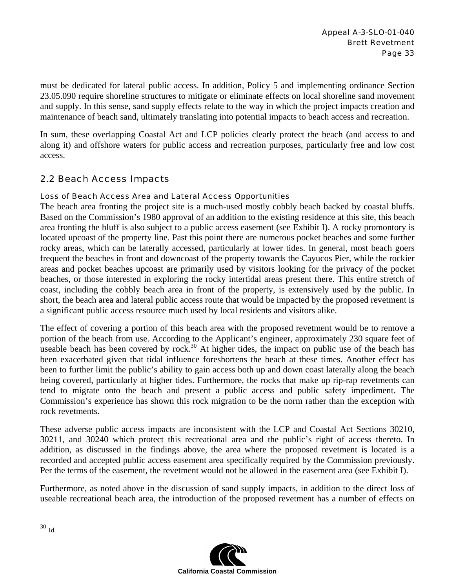must be dedicated for lateral public access. In addition, Policy 5 and implementing ordinance Section 23.05.090 require shoreline structures to mitigate or eliminate effects on local shoreline sand movement and supply. In this sense, sand supply effects relate to the way in which the project impacts creation and maintenance of beach sand, ultimately translating into potential impacts to beach access and recreation.

In sum, these overlapping Coastal Act and LCP policies clearly protect the beach (and access to and along it) and offshore waters for public access and recreation purposes, particularly free and low cost access.

### 2.2 Beach Access Impacts

#### Loss of Beach Access Area and Lateral Access Opportunities

The beach area fronting the project site is a much-used mostly cobbly beach backed by coastal bluffs. Based on the Commission's 1980 approval of an addition to the existing residence at this site, this beach area fronting the bluff is also subject to a public access easement (see Exhibit I). A rocky promontory is located upcoast of the property line. Past this point there are numerous pocket beaches and some further rocky areas, which can be laterally accessed, particularly at lower tides. In general, most beach goers frequent the beaches in front and downcoast of the property towards the Cayucos Pier, while the rockier areas and pocket beaches upcoast are primarily used by visitors looking for the privacy of the pocket beaches, or those interested in exploring the rocky intertidal areas present there. This entire stretch of coast, including the cobbly beach area in front of the property, is extensively used by the public. In short, the beach area and lateral public access route that would be impacted by the proposed revetment is a significant public access resource much used by local residents and visitors alike.

The effect of covering a portion of this beach area with the proposed revetment would be to remove a portion of the beach from use. According to the Applicant's engineer, approximately 230 square feet of useable beach has been covered by rock.<sup>30</sup> At higher tides, the impact on public use of the beach has been exacerbated given that tidal influence foreshortens the beach at these times. Another effect has been to further limit the public's ability to gain access both up and down coast laterally along the beach being covered, particularly at higher tides. Furthermore, the rocks that make up rip-rap revetments can tend to migrate onto the beach and present a public access and public safety impediment. The Commission's experience has shown this rock migration to be the norm rather than the exception with rock revetments.

These adverse public access impacts are inconsistent with the LCP and Coastal Act Sections 30210, 30211, and 30240 which protect this recreational area and the public's right of access thereto. In addition, as discussed in the findings above, the area where the proposed revetment is located is a recorded and accepted public access easement area specifically required by the Commission previously. Per the terms of the easement, the revetment would not be allowed in the easement area (see Exhibit I).

Furthermore, as noted above in the discussion of sand supply impacts, in addition to the direct loss of useable recreational beach area, the introduction of the proposed revetment has a number of effects on



 $30$  Id.

1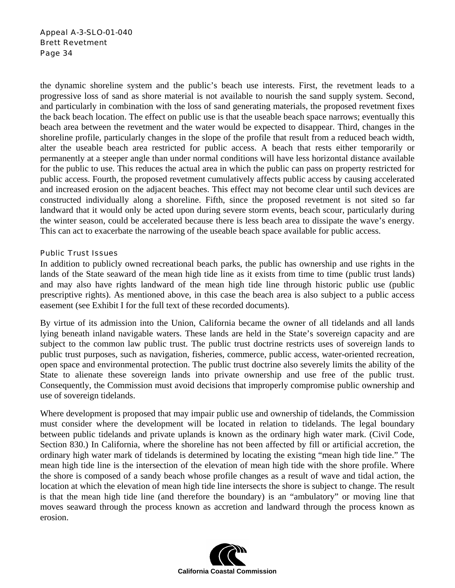the dynamic shoreline system and the public's beach use interests. First, the revetment leads to a progressive loss of sand as shore material is not available to nourish the sand supply system. Second, and particularly in combination with the loss of sand generating materials, the proposed revetment fixes the back beach location. The effect on public use is that the useable beach space narrows; eventually this beach area between the revetment and the water would be expected to disappear. Third, changes in the shoreline profile, particularly changes in the slope of the profile that result from a reduced beach width, alter the useable beach area restricted for public access. A beach that rests either temporarily or permanently at a steeper angle than under normal conditions will have less horizontal distance available for the public to use. This reduces the actual area in which the public can pass on property restricted for public access. Fourth, the proposed revetment cumulatively affects public access by causing accelerated and increased erosion on the adjacent beaches. This effect may not become clear until such devices are constructed individually along a shoreline. Fifth, since the proposed revetment is not sited so far landward that it would only be acted upon during severe storm events, beach scour, particularly during the winter season, could be accelerated because there is less beach area to dissipate the wave's energy. This can act to exacerbate the narrowing of the useable beach space available for public access.

#### Public Trust Issues

In addition to publicly owned recreational beach parks, the public has ownership and use rights in the lands of the State seaward of the mean high tide line as it exists from time to time (public trust lands) and may also have rights landward of the mean high tide line through historic public use (public prescriptive rights). As mentioned above, in this case the beach area is also subject to a public access easement (see Exhibit I for the full text of these recorded documents).

By virtue of its admission into the Union, California became the owner of all tidelands and all lands lying beneath inland navigable waters. These lands are held in the State's sovereign capacity and are subject to the common law public trust. The public trust doctrine restricts uses of sovereign lands to public trust purposes, such as navigation, fisheries, commerce, public access, water-oriented recreation, open space and environmental protection. The public trust doctrine also severely limits the ability of the State to alienate these sovereign lands into private ownership and use free of the public trust. Consequently, the Commission must avoid decisions that improperly compromise public ownership and use of sovereign tidelands.

Where development is proposed that may impair public use and ownership of tidelands, the Commission must consider where the development will be located in relation to tidelands. The legal boundary between public tidelands and private uplands is known as the ordinary high water mark. (Civil Code, Section 830.) In California, where the shoreline has not been affected by fill or artificial accretion, the ordinary high water mark of tidelands is determined by locating the existing "mean high tide line." The mean high tide line is the intersection of the elevation of mean high tide with the shore profile. Where the shore is composed of a sandy beach whose profile changes as a result of wave and tidal action, the location at which the elevation of mean high tide line intersects the shore is subject to change. The result is that the mean high tide line (and therefore the boundary) is an "ambulatory" or moving line that moves seaward through the process known as accretion and landward through the process known as erosion.

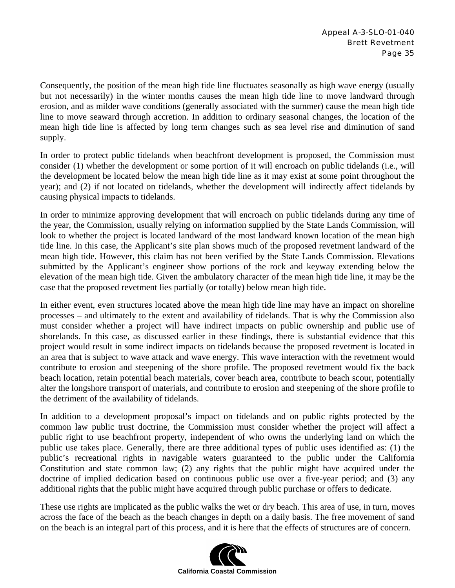Consequently, the position of the mean high tide line fluctuates seasonally as high wave energy (usually but not necessarily) in the winter months causes the mean high tide line to move landward through erosion, and as milder wave conditions (generally associated with the summer) cause the mean high tide line to move seaward through accretion. In addition to ordinary seasonal changes, the location of the mean high tide line is affected by long term changes such as sea level rise and diminution of sand supply.

In order to protect public tidelands when beachfront development is proposed, the Commission must consider (1) whether the development or some portion of it will encroach on public tidelands (i.e., will the development be located below the mean high tide line as it may exist at some point throughout the year); and (2) if not located on tidelands, whether the development will indirectly affect tidelands by causing physical impacts to tidelands.

In order to minimize approving development that will encroach on public tidelands during any time of the year, the Commission, usually relying on information supplied by the State Lands Commission, will look to whether the project is located landward of the most landward known location of the mean high tide line. In this case, the Applicant's site plan shows much of the proposed revetment landward of the mean high tide. However, this claim has not been verified by the State Lands Commission. Elevations submitted by the Applicant's engineer show portions of the rock and keyway extending below the elevation of the mean high tide. Given the ambulatory character of the mean high tide line, it may be the case that the proposed revetment lies partially (or totally) below mean high tide.

In either event, even structures located above the mean high tide line may have an impact on shoreline processes – and ultimately to the extent and availability of tidelands. That is why the Commission also must consider whether a project will have indirect impacts on public ownership and public use of shorelands. In this case, as discussed earlier in these findings, there is substantial evidence that this project would result in some indirect impacts on tidelands because the proposed revetment is located in an area that is subject to wave attack and wave energy. This wave interaction with the revetment would contribute to erosion and steepening of the shore profile. The proposed revetment would fix the back beach location, retain potential beach materials, cover beach area, contribute to beach scour, potentially alter the longshore transport of materials, and contribute to erosion and steepening of the shore profile to the detriment of the availability of tidelands.

In addition to a development proposal's impact on tidelands and on public rights protected by the common law public trust doctrine, the Commission must consider whether the project will affect a public right to use beachfront property, independent of who owns the underlying land on which the public use takes place. Generally, there are three additional types of public uses identified as: (1) the public's recreational rights in navigable waters guaranteed to the public under the California Constitution and state common law; (2) any rights that the public might have acquired under the doctrine of implied dedication based on continuous public use over a five-year period; and (3) any additional rights that the public might have acquired through public purchase or offers to dedicate.

These use rights are implicated as the public walks the wet or dry beach. This area of use, in turn, moves across the face of the beach as the beach changes in depth on a daily basis. The free movement of sand on the beach is an integral part of this process, and it is here that the effects of structures are of concern.

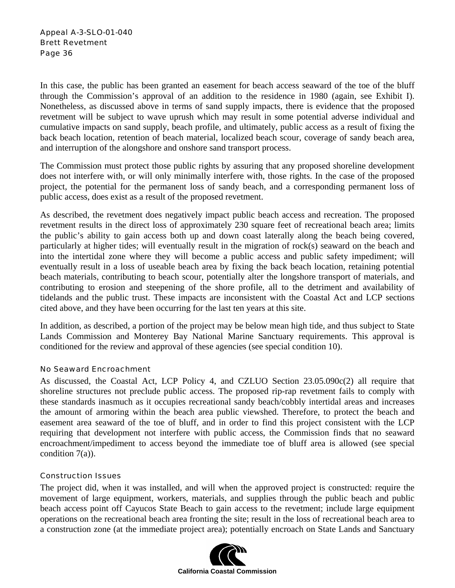In this case, the public has been granted an easement for beach access seaward of the toe of the bluff through the Commission's approval of an addition to the residence in 1980 (again, see Exhibit I). Nonetheless, as discussed above in terms of sand supply impacts, there is evidence that the proposed revetment will be subject to wave uprush which may result in some potential adverse individual and cumulative impacts on sand supply, beach profile, and ultimately, public access as a result of fixing the back beach location, retention of beach material, localized beach scour, coverage of sandy beach area, and interruption of the alongshore and onshore sand transport process.

The Commission must protect those public rights by assuring that any proposed shoreline development does not interfere with, or will only minimally interfere with, those rights. In the case of the proposed project, the potential for the permanent loss of sandy beach, and a corresponding permanent loss of public access, does exist as a result of the proposed revetment.

As described, the revetment does negatively impact public beach access and recreation. The proposed revetment results in the direct loss of approximately 230 square feet of recreational beach area; limits the public's ability to gain access both up and down coast laterally along the beach being covered, particularly at higher tides; will eventually result in the migration of rock(s) seaward on the beach and into the intertidal zone where they will become a public access and public safety impediment; will eventually result in a loss of useable beach area by fixing the back beach location, retaining potential beach materials, contributing to beach scour, potentially alter the longshore transport of materials, and contributing to erosion and steepening of the shore profile, all to the detriment and availability of tidelands and the public trust. These impacts are inconsistent with the Coastal Act and LCP sections cited above, and they have been occurring for the last ten years at this site.

In addition, as described, a portion of the project may be below mean high tide, and thus subject to State Lands Commission and Monterey Bay National Marine Sanctuary requirements. This approval is conditioned for the review and approval of these agencies (see special condition 10).

#### No Seaward Encroachment

As discussed, the Coastal Act, LCP Policy 4, and CZLUO Section 23.05.090c(2) all require that shoreline structures not preclude public access. The proposed rip-rap revetment fails to comply with these standards inasmuch as it occupies recreational sandy beach/cobbly intertidal areas and increases the amount of armoring within the beach area public viewshed. Therefore, to protect the beach and easement area seaward of the toe of bluff, and in order to find this project consistent with the LCP requiring that development not interfere with public access, the Commission finds that no seaward encroachment/impediment to access beyond the immediate toe of bluff area is allowed (see special condition 7(a)).

#### Construction Issues

The project did, when it was installed, and will when the approved project is constructed: require the movement of large equipment, workers, materials, and supplies through the public beach and public beach access point off Cayucos State Beach to gain access to the revetment; include large equipment operations on the recreational beach area fronting the site; result in the loss of recreational beach area to a construction zone (at the immediate project area); potentially encroach on State Lands and Sanctuary

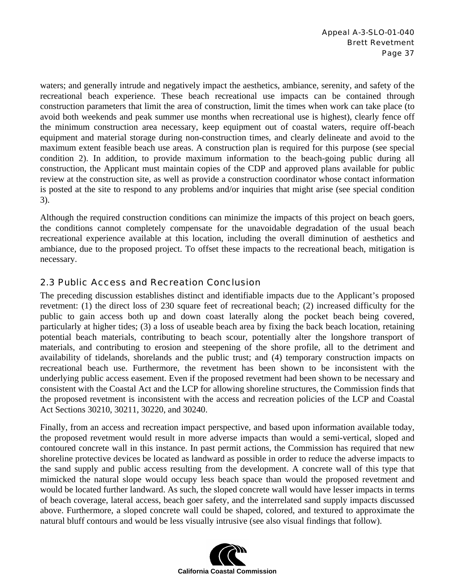waters; and generally intrude and negatively impact the aesthetics, ambiance, serenity, and safety of the recreational beach experience. These beach recreational use impacts can be contained through construction parameters that limit the area of construction, limit the times when work can take place (to avoid both weekends and peak summer use months when recreational use is highest), clearly fence off the minimum construction area necessary, keep equipment out of coastal waters, require off-beach equipment and material storage during non-construction times, and clearly delineate and avoid to the maximum extent feasible beach use areas. A construction plan is required for this purpose (see special condition 2). In addition, to provide maximum information to the beach-going public during all construction, the Applicant must maintain copies of the CDP and approved plans available for public review at the construction site, as well as provide a construction coordinator whose contact information is posted at the site to respond to any problems and/or inquiries that might arise (see special condition 3).

Although the required construction conditions can minimize the impacts of this project on beach goers, the conditions cannot completely compensate for the unavoidable degradation of the usual beach recreational experience available at this location, including the overall diminution of aesthetics and ambiance, due to the proposed project. To offset these impacts to the recreational beach, mitigation is necessary.

### 2.3 Public Access and Recreation Conclusion

The preceding discussion establishes distinct and identifiable impacts due to the Applicant's proposed revetment: (1) the direct loss of 230 square feet of recreational beach; (2) increased difficulty for the public to gain access both up and down coast laterally along the pocket beach being covered, particularly at higher tides; (3) a loss of useable beach area by fixing the back beach location, retaining potential beach materials, contributing to beach scour, potentially alter the longshore transport of materials, and contributing to erosion and steepening of the shore profile, all to the detriment and availability of tidelands, shorelands and the public trust; and (4) temporary construction impacts on recreational beach use. Furthermore, the revetment has been shown to be inconsistent with the underlying public access easement. Even if the proposed revetment had been shown to be necessary and consistent with the Coastal Act and the LCP for allowing shoreline structures, the Commission finds that the proposed revetment is inconsistent with the access and recreation policies of the LCP and Coastal Act Sections 30210, 30211, 30220, and 30240.

Finally, from an access and recreation impact perspective, and based upon information available today, the proposed revetment would result in more adverse impacts than would a semi-vertical, sloped and contoured concrete wall in this instance. In past permit actions, the Commission has required that new shoreline protective devices be located as landward as possible in order to reduce the adverse impacts to the sand supply and public access resulting from the development. A concrete wall of this type that mimicked the natural slope would occupy less beach space than would the proposed revetment and would be located further landward. As such, the sloped concrete wall would have lesser impacts in terms of beach coverage, lateral access, beach goer safety, and the interrelated sand supply impacts discussed above. Furthermore, a sloped concrete wall could be shaped, colored, and textured to approximate the natural bluff contours and would be less visually intrusive (see also visual findings that follow).

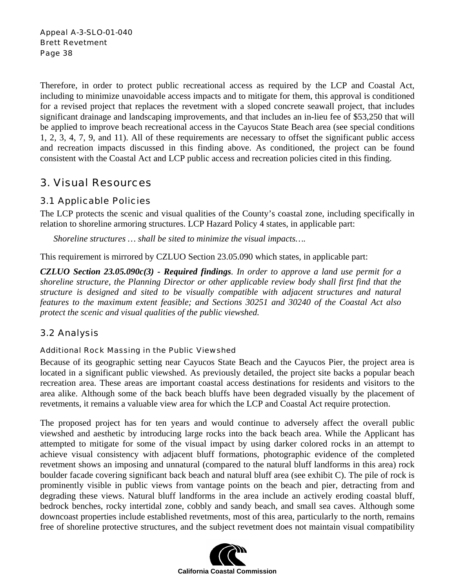Therefore, in order to protect public recreational access as required by the LCP and Coastal Act, including to minimize unavoidable access impacts and to mitigate for them, this approval is conditioned for a revised project that replaces the revetment with a sloped concrete seawall project, that includes significant drainage and landscaping improvements, and that includes an in-lieu fee of \$53,250 that will be applied to improve beach recreational access in the Cayucos State Beach area (see special conditions 1, 2, 3, 4, 7, 9, and 11). All of these requirements are necessary to offset the significant public access and recreation impacts discussed in this finding above. As conditioned, the project can be found consistent with the Coastal Act and LCP public access and recreation policies cited in this finding.

## 3. Visual Resources

### 3.1 Applicable Policies

The LCP protects the scenic and visual qualities of the County's coastal zone, including specifically in relation to shoreline armoring structures. LCP Hazard Policy 4 states, in applicable part:

*Shoreline structures … shall be sited to minimize the visual impacts….* 

This requirement is mirrored by CZLUO Section 23.05.090 which states, in applicable part:

*CZLUO Section 23.05.090c(3) - Required findings. In order to approve a land use permit for a shoreline structure, the Planning Director or other applicable review body shall first find that the structure is designed and sited to be visually compatible with adjacent structures and natural features to the maximum extent feasible; and Sections 30251 and 30240 of the Coastal Act also protect the scenic and visual qualities of the public viewshed.* 

### 3.2 Analysis

#### Additional Rock Massing in the Public Viewshed

Because of its geographic setting near Cayucos State Beach and the Cayucos Pier, the project area is located in a significant public viewshed. As previously detailed, the project site backs a popular beach recreation area. These areas are important coastal access destinations for residents and visitors to the area alike. Although some of the back beach bluffs have been degraded visually by the placement of revetments, it remains a valuable view area for which the LCP and Coastal Act require protection.

The proposed project has for ten years and would continue to adversely affect the overall public viewshed and aesthetic by introducing large rocks into the back beach area. While the Applicant has attempted to mitigate for some of the visual impact by using darker colored rocks in an attempt to achieve visual consistency with adjacent bluff formations, photographic evidence of the completed revetment shows an imposing and unnatural (compared to the natural bluff landforms in this area) rock boulder facade covering significant back beach and natural bluff area (see exhibit C). The pile of rock is prominently visible in public views from vantage points on the beach and pier, detracting from and degrading these views. Natural bluff landforms in the area include an actively eroding coastal bluff, bedrock benches, rocky intertidal zone, cobbly and sandy beach, and small sea caves. Although some downcoast properties include established revetments, most of this area, particularly to the north, remains free of shoreline protective structures, and the subject revetment does not maintain visual compatibility

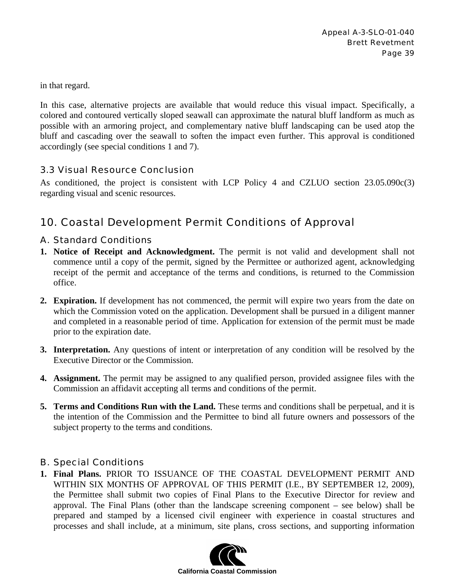in that regard.

In this case, alternative projects are available that would reduce this visual impact. Specifically, a colored and contoured vertically sloped seawall can approximate the natural bluff landform as much as possible with an armoring project, and complementary native bluff landscaping can be used atop the bluff and cascading over the seawall to soften the impact even further. This approval is conditioned accordingly (see special conditions 1 and 7).

#### 3.3 Visual Resource Conclusion

As conditioned, the project is consistent with LCP Policy 4 and CZLUO section 23.05.090c(3) regarding visual and scenic resources.

## 10. Coastal Development Permit Conditions of Approval

### A. Standard Conditions

- **1. Notice of Receipt and Acknowledgment.** The permit is not valid and development shall not commence until a copy of the permit, signed by the Permittee or authorized agent, acknowledging receipt of the permit and acceptance of the terms and conditions, is returned to the Commission office.
- **2. Expiration.** If development has not commenced, the permit will expire two years from the date on which the Commission voted on the application. Development shall be pursued in a diligent manner and completed in a reasonable period of time. Application for extension of the permit must be made prior to the expiration date.
- **3. Interpretation.** Any questions of intent or interpretation of any condition will be resolved by the Executive Director or the Commission.
- **4. Assignment.** The permit may be assigned to any qualified person, provided assignee files with the Commission an affidavit accepting all terms and conditions of the permit.
- **5. Terms and Conditions Run with the Land.** These terms and conditions shall be perpetual, and it is the intention of the Commission and the Permittee to bind all future owners and possessors of the subject property to the terms and conditions.

### B. Special Conditions

**1. Final Plans.** PRIOR TO ISSUANCE OF THE COASTAL DEVELOPMENT PERMIT AND WITHIN SIX MONTHS OF APPROVAL OF THIS PERMIT (I.E., BY SEPTEMBER 12, 2009), the Permittee shall submit two copies of Final Plans to the Executive Director for review and approval. The Final Plans (other than the landscape screening component – see below) shall be prepared and stamped by a licensed civil engineer with experience in coastal structures and processes and shall include, at a minimum, site plans, cross sections, and supporting information

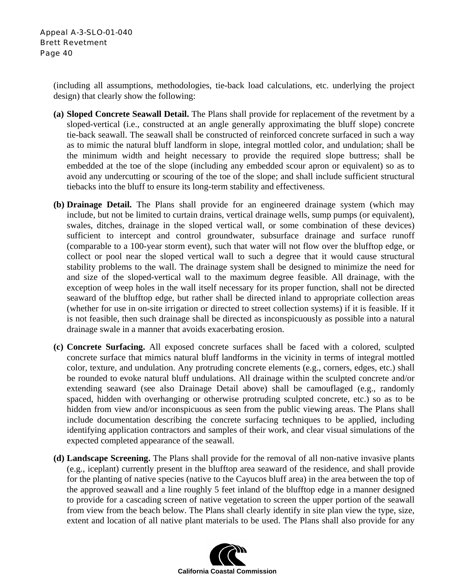(including all assumptions, methodologies, tie-back load calculations, etc. underlying the project design) that clearly show the following:

- **(a) Sloped Concrete Seawall Detail.** The Plans shall provide for replacement of the revetment by a sloped-vertical (i.e., constructed at an angle generally approximating the bluff slope) concrete tie-back seawall. The seawall shall be constructed of reinforced concrete surfaced in such a way as to mimic the natural bluff landform in slope, integral mottled color, and undulation; shall be the minimum width and height necessary to provide the required slope buttress; shall be embedded at the toe of the slope (including any embedded scour apron or equivalent) so as to avoid any undercutting or scouring of the toe of the slope; and shall include sufficient structural tiebacks into the bluff to ensure its long-term stability and effectiveness.
- **(b) Drainage Detail.** The Plans shall provide for an engineered drainage system (which may include, but not be limited to curtain drains, vertical drainage wells, sump pumps (or equivalent), swales, ditches, drainage in the sloped vertical wall, or some combination of these devices) sufficient to intercept and control groundwater, subsurface drainage and surface runoff (comparable to a 100-year storm event), such that water will not flow over the blufftop edge, or collect or pool near the sloped vertical wall to such a degree that it would cause structural stability problems to the wall. The drainage system shall be designed to minimize the need for and size of the sloped-vertical wall to the maximum degree feasible. All drainage, with the exception of weep holes in the wall itself necessary for its proper function, shall not be directed seaward of the blufftop edge, but rather shall be directed inland to appropriate collection areas (whether for use in on-site irrigation or directed to street collection systems) if it is feasible. If it is not feasible, then such drainage shall be directed as inconspicuously as possible into a natural drainage swale in a manner that avoids exacerbating erosion.
- **(c) Concrete Surfacing.** All exposed concrete surfaces shall be faced with a colored, sculpted concrete surface that mimics natural bluff landforms in the vicinity in terms of integral mottled color, texture, and undulation. Any protruding concrete elements (e.g., corners, edges, etc.) shall be rounded to evoke natural bluff undulations. All drainage within the sculpted concrete and/or extending seaward (see also Drainage Detail above) shall be camouflaged (e.g., randomly spaced, hidden with overhanging or otherwise protruding sculpted concrete, etc.) so as to be hidden from view and/or inconspicuous as seen from the public viewing areas. The Plans shall include documentation describing the concrete surfacing techniques to be applied, including identifying application contractors and samples of their work, and clear visual simulations of the expected completed appearance of the seawall.
- **(d) Landscape Screening.** The Plans shall provide for the removal of all non-native invasive plants (e.g., iceplant) currently present in the blufftop area seaward of the residence, and shall provide for the planting of native species (native to the Cayucos bluff area) in the area between the top of the approved seawall and a line roughly 5 feet inland of the blufftop edge in a manner designed to provide for a cascading screen of native vegetation to screen the upper portion of the seawall from view from the beach below. The Plans shall clearly identify in site plan view the type, size, extent and location of all native plant materials to be used. The Plans shall also provide for any

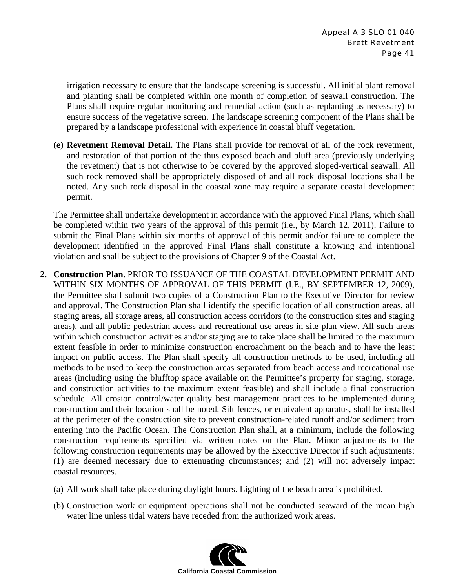irrigation necessary to ensure that the landscape screening is successful. All initial plant removal and planting shall be completed within one month of completion of seawall construction. The Plans shall require regular monitoring and remedial action (such as replanting as necessary) to ensure success of the vegetative screen. The landscape screening component of the Plans shall be prepared by a landscape professional with experience in coastal bluff vegetation.

**(e) Revetment Removal Detail.** The Plans shall provide for removal of all of the rock revetment, and restoration of that portion of the thus exposed beach and bluff area (previously underlying the revetment) that is not otherwise to be covered by the approved sloped-vertical seawall. All such rock removed shall be appropriately disposed of and all rock disposal locations shall be noted. Any such rock disposal in the coastal zone may require a separate coastal development permit.

The Permittee shall undertake development in accordance with the approved Final Plans, which shall be completed within two years of the approval of this permit (i.e., by March 12, 2011). Failure to submit the Final Plans within six months of approval of this permit and/or failure to complete the development identified in the approved Final Plans shall constitute a knowing and intentional violation and shall be subject to the provisions of Chapter 9 of the Coastal Act.

- **2. Construction Plan.** PRIOR TO ISSUANCE OF THE COASTAL DEVELOPMENT PERMIT AND WITHIN SIX MONTHS OF APPROVAL OF THIS PERMIT (I.E., BY SEPTEMBER 12, 2009), the Permittee shall submit two copies of a Construction Plan to the Executive Director for review and approval. The Construction Plan shall identify the specific location of all construction areas, all staging areas, all storage areas, all construction access corridors (to the construction sites and staging areas), and all public pedestrian access and recreational use areas in site plan view. All such areas within which construction activities and/or staging are to take place shall be limited to the maximum extent feasible in order to minimize construction encroachment on the beach and to have the least impact on public access. The Plan shall specify all construction methods to be used, including all methods to be used to keep the construction areas separated from beach access and recreational use areas (including using the blufftop space available on the Permittee's property for staging, storage, and construction activities to the maximum extent feasible) and shall include a final construction schedule. All erosion control/water quality best management practices to be implemented during construction and their location shall be noted. Silt fences, or equivalent apparatus, shall be installed at the perimeter of the construction site to prevent construction-related runoff and/or sediment from entering into the Pacific Ocean. The Construction Plan shall, at a minimum, include the following construction requirements specified via written notes on the Plan. Minor adjustments to the following construction requirements may be allowed by the Executive Director if such adjustments: (1) are deemed necessary due to extenuating circumstances; and (2) will not adversely impact coastal resources.
	- (a) All work shall take place during daylight hours. Lighting of the beach area is prohibited.
	- (b) Construction work or equipment operations shall not be conducted seaward of the mean high water line unless tidal waters have receded from the authorized work areas.

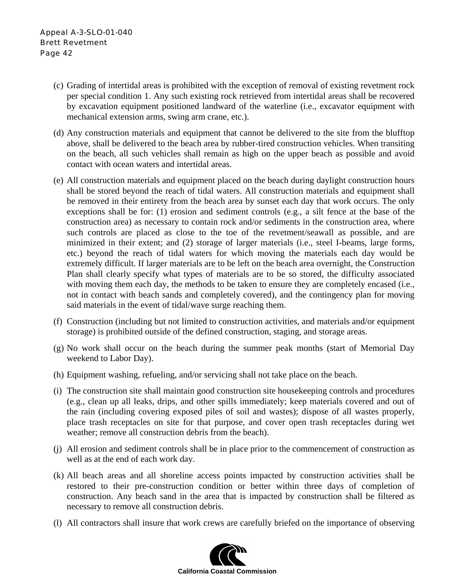- (c) Grading of intertidal areas is prohibited with the exception of removal of existing revetment rock per special condition 1. Any such existing rock retrieved from intertidal areas shall be recovered by excavation equipment positioned landward of the waterline (i.e., excavator equipment with mechanical extension arms, swing arm crane, etc.).
- (d) Any construction materials and equipment that cannot be delivered to the site from the blufftop above, shall be delivered to the beach area by rubber-tired construction vehicles. When transiting on the beach, all such vehicles shall remain as high on the upper beach as possible and avoid contact with ocean waters and intertidal areas.
- (e) All construction materials and equipment placed on the beach during daylight construction hours shall be stored beyond the reach of tidal waters. All construction materials and equipment shall be removed in their entirety from the beach area by sunset each day that work occurs. The only exceptions shall be for: (1) erosion and sediment controls (e.g., a silt fence at the base of the construction area) as necessary to contain rock and/or sediments in the construction area, where such controls are placed as close to the toe of the revetment/seawall as possible, and are minimized in their extent; and (2) storage of larger materials (i.e., steel I-beams, large forms, etc.) beyond the reach of tidal waters for which moving the materials each day would be extremely difficult. If larger materials are to be left on the beach area overnight, the Construction Plan shall clearly specify what types of materials are to be so stored, the difficulty associated with moving them each day, the methods to be taken to ensure they are completely encased (i.e., not in contact with beach sands and completely covered), and the contingency plan for moving said materials in the event of tidal/wave surge reaching them.
- (f) Construction (including but not limited to construction activities, and materials and/or equipment storage) is prohibited outside of the defined construction, staging, and storage areas.
- (g) No work shall occur on the beach during the summer peak months (start of Memorial Day weekend to Labor Day).
- (h) Equipment washing, refueling, and/or servicing shall not take place on the beach.
- (i) The construction site shall maintain good construction site housekeeping controls and procedures (e.g., clean up all leaks, drips, and other spills immediately; keep materials covered and out of the rain (including covering exposed piles of soil and wastes); dispose of all wastes properly, place trash receptacles on site for that purpose, and cover open trash receptacles during wet weather; remove all construction debris from the beach).
- (j) All erosion and sediment controls shall be in place prior to the commencement of construction as well as at the end of each work day.
- (k) All beach areas and all shoreline access points impacted by construction activities shall be restored to their pre-construction condition or better within three days of completion of construction. Any beach sand in the area that is impacted by construction shall be filtered as necessary to remove all construction debris.
- (l) All contractors shall insure that work crews are carefully briefed on the importance of observing

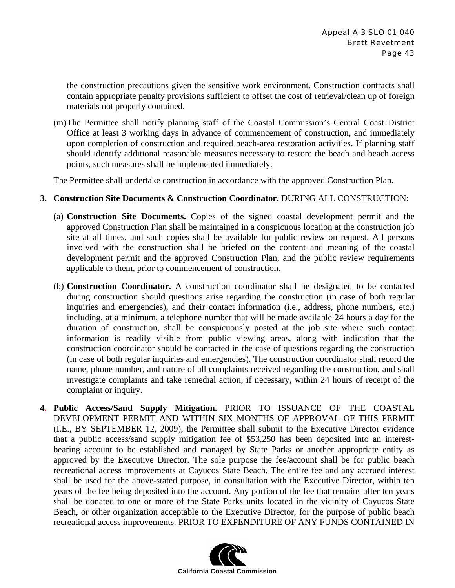the construction precautions given the sensitive work environment. Construction contracts shall contain appropriate penalty provisions sufficient to offset the cost of retrieval/clean up of foreign materials not properly contained.

(m)The Permittee shall notify planning staff of the Coastal Commission's Central Coast District Office at least 3 working days in advance of commencement of construction, and immediately upon completion of construction and required beach-area restoration activities. If planning staff should identify additional reasonable measures necessary to restore the beach and beach access points, such measures shall be implemented immediately.

The Permittee shall undertake construction in accordance with the approved Construction Plan.

#### **3. Construction Site Documents & Construction Coordinator.** DURING ALL CONSTRUCTION:

- (a) **Construction Site Documents.** Copies of the signed coastal development permit and the approved Construction Plan shall be maintained in a conspicuous location at the construction job site at all times, and such copies shall be available for public review on request. All persons involved with the construction shall be briefed on the content and meaning of the coastal development permit and the approved Construction Plan, and the public review requirements applicable to them, prior to commencement of construction.
- (b) **Construction Coordinator.** A construction coordinator shall be designated to be contacted during construction should questions arise regarding the construction (in case of both regular inquiries and emergencies), and their contact information (i.e., address, phone numbers, etc.) including, at a minimum, a telephone number that will be made available 24 hours a day for the duration of construction, shall be conspicuously posted at the job site where such contact information is readily visible from public viewing areas, along with indication that the construction coordinator should be contacted in the case of questions regarding the construction (in case of both regular inquiries and emergencies). The construction coordinator shall record the name, phone number, and nature of all complaints received regarding the construction, and shall investigate complaints and take remedial action, if necessary, within 24 hours of receipt of the complaint or inquiry.
- **4. Public Access/Sand Supply Mitigation.** PRIOR TO ISSUANCE OF THE COASTAL DEVELOPMENT PERMIT AND WITHIN SIX MONTHS OF APPROVAL OF THIS PERMIT (I.E., BY SEPTEMBER 12, 2009), the Permittee shall submit to the Executive Director evidence that a public access/sand supply mitigation fee of \$53,250 has been deposited into an interestbearing account to be established and managed by State Parks or another appropriate entity as approved by the Executive Director. The sole purpose the fee/account shall be for public beach recreational access improvements at Cayucos State Beach. The entire fee and any accrued interest shall be used for the above-stated purpose, in consultation with the Executive Director, within ten years of the fee being deposited into the account. Any portion of the fee that remains after ten years shall be donated to one or more of the State Parks units located in the vicinity of Cayucos State Beach, or other organization acceptable to the Executive Director, for the purpose of public beach recreational access improvements. PRIOR TO EXPENDITURE OF ANY FUNDS CONTAINED IN

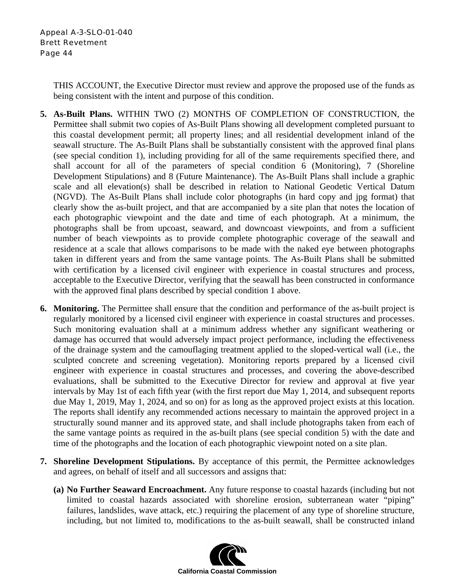THIS ACCOUNT, the Executive Director must review and approve the proposed use of the funds as being consistent with the intent and purpose of this condition.

- **5. As-Built Plans.** WITHIN TWO (2) MONTHS OF COMPLETION OF CONSTRUCTION, the Permittee shall submit two copies of As-Built Plans showing all development completed pursuant to this coastal development permit; all property lines; and all residential development inland of the seawall structure. The As-Built Plans shall be substantially consistent with the approved final plans (see special condition 1), including providing for all of the same requirements specified there, and shall account for all of the parameters of special condition 6 (Monitoring), 7 (Shoreline Development Stipulations) and 8 (Future Maintenance). The As-Built Plans shall include a graphic scale and all elevation(s) shall be described in relation to National Geodetic Vertical Datum (NGVD). The As-Built Plans shall include color photographs (in hard copy and jpg format) that clearly show the as-built project, and that are accompanied by a site plan that notes the location of each photographic viewpoint and the date and time of each photograph. At a minimum, the photographs shall be from upcoast, seaward, and downcoast viewpoints, and from a sufficient number of beach viewpoints as to provide complete photographic coverage of the seawall and residence at a scale that allows comparisons to be made with the naked eye between photographs taken in different years and from the same vantage points. The As-Built Plans shall be submitted with certification by a licensed civil engineer with experience in coastal structures and process, acceptable to the Executive Director, verifying that the seawall has been constructed in conformance with the approved final plans described by special condition 1 above.
- **6. Monitoring.** The Permittee shall ensure that the condition and performance of the as-built project is regularly monitored by a licensed civil engineer with experience in coastal structures and processes. Such monitoring evaluation shall at a minimum address whether any significant weathering or damage has occurred that would adversely impact project performance, including the effectiveness of the drainage system and the camouflaging treatment applied to the sloped-vertical wall (i.e., the sculpted concrete and screening vegetation). Monitoring reports prepared by a licensed civil engineer with experience in coastal structures and processes, and covering the above-described evaluations, shall be submitted to the Executive Director for review and approval at five year intervals by May 1st of each fifth year (with the first report due May 1, 2014, and subsequent reports due May 1, 2019, May 1, 2024, and so on) for as long as the approved project exists at this location. The reports shall identify any recommended actions necessary to maintain the approved project in a structurally sound manner and its approved state, and shall include photographs taken from each of the same vantage points as required in the as-built plans (see special condition 5) with the date and time of the photographs and the location of each photographic viewpoint noted on a site plan.
- **7. Shoreline Development Stipulations.** By acceptance of this permit, the Permittee acknowledges and agrees, on behalf of itself and all successors and assigns that:
	- **(a) No Further Seaward Encroachment.** Any future response to coastal hazards (including but not limited to coastal hazards associated with shoreline erosion, subterranean water "piping" failures, landslides, wave attack, etc.) requiring the placement of any type of shoreline structure, including, but not limited to, modifications to the as-built seawall, shall be constructed inland

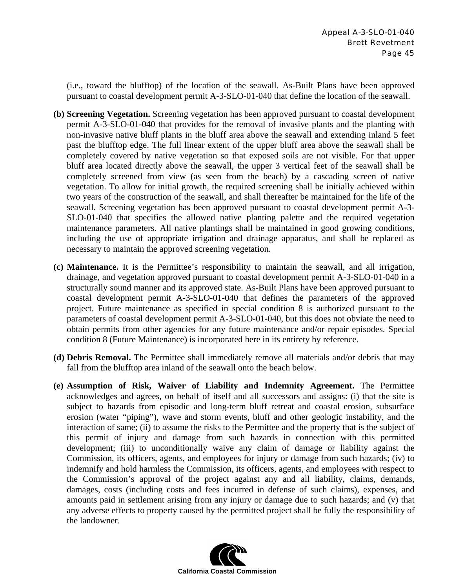(i.e., toward the blufftop) of the location of the seawall. As-Built Plans have been approved pursuant to coastal development permit A-3-SLO-01-040 that define the location of the seawall.

- **(b) Screening Vegetation.** Screening vegetation has been approved pursuant to coastal development permit A-3-SLO-01-040 that provides for the removal of invasive plants and the planting with non-invasive native bluff plants in the bluff area above the seawall and extending inland 5 feet past the blufftop edge. The full linear extent of the upper bluff area above the seawall shall be completely covered by native vegetation so that exposed soils are not visible. For that upper bluff area located directly above the seawall, the upper 3 vertical feet of the seawall shall be completely screened from view (as seen from the beach) by a cascading screen of native vegetation. To allow for initial growth, the required screening shall be initially achieved within two years of the construction of the seawall, and shall thereafter be maintained for the life of the seawall. Screening vegetation has been approved pursuant to coastal development permit A-3- SLO-01-040 that specifies the allowed native planting palette and the required vegetation maintenance parameters. All native plantings shall be maintained in good growing conditions, including the use of appropriate irrigation and drainage apparatus, and shall be replaced as necessary to maintain the approved screening vegetation.
- **(c) Maintenance.** It is the Permittee's responsibility to maintain the seawall, and all irrigation, drainage, and vegetation approved pursuant to coastal development permit A-3-SLO-01-040 in a structurally sound manner and its approved state. As-Built Plans have been approved pursuant to coastal development permit A-3-SLO-01-040 that defines the parameters of the approved project. Future maintenance as specified in special condition 8 is authorized pursuant to the parameters of coastal development permit A-3-SLO-01-040, but this does not obviate the need to obtain permits from other agencies for any future maintenance and/or repair episodes. Special condition 8 (Future Maintenance) is incorporated here in its entirety by reference.
- **(d) Debris Removal.** The Permittee shall immediately remove all materials and/or debris that may fall from the blufftop area inland of the seawall onto the beach below.
- **(e) Assumption of Risk, Waiver of Liability and Indemnity Agreement.** The Permittee acknowledges and agrees, on behalf of itself and all successors and assigns: (i) that the site is subject to hazards from episodic and long-term bluff retreat and coastal erosion, subsurface erosion (water "piping"), wave and storm events, bluff and other geologic instability, and the interaction of same; (ii) to assume the risks to the Permittee and the property that is the subject of this permit of injury and damage from such hazards in connection with this permitted development; (iii) to unconditionally waive any claim of damage or liability against the Commission, its officers, agents, and employees for injury or damage from such hazards; (iv) to indemnify and hold harmless the Commission, its officers, agents, and employees with respect to the Commission's approval of the project against any and all liability, claims, demands, damages, costs (including costs and fees incurred in defense of such claims), expenses, and amounts paid in settlement arising from any injury or damage due to such hazards; and (v) that any adverse effects to property caused by the permitted project shall be fully the responsibility of the landowner.

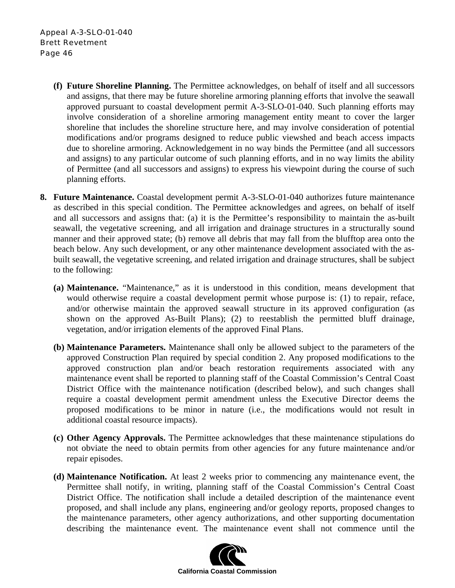- **(f) Future Shoreline Planning.** The Permittee acknowledges, on behalf of itself and all successors and assigns, that there may be future shoreline armoring planning efforts that involve the seawall approved pursuant to coastal development permit A-3-SLO-01-040. Such planning efforts may involve consideration of a shoreline armoring management entity meant to cover the larger shoreline that includes the shoreline structure here, and may involve consideration of potential modifications and/or programs designed to reduce public viewshed and beach access impacts due to shoreline armoring. Acknowledgement in no way binds the Permittee (and all successors and assigns) to any particular outcome of such planning efforts, and in no way limits the ability of Permittee (and all successors and assigns) to express his viewpoint during the course of such planning efforts.
- **8. Future Maintenance.** Coastal development permit A-3-SLO-01-040 authorizes future maintenance as described in this special condition. The Permittee acknowledges and agrees, on behalf of itself and all successors and assigns that: (a) it is the Permittee's responsibility to maintain the as-built seawall, the vegetative screening, and all irrigation and drainage structures in a structurally sound manner and their approved state; (b) remove all debris that may fall from the blufftop area onto the beach below. Any such development, or any other maintenance development associated with the asbuilt seawall, the vegetative screening, and related irrigation and drainage structures, shall be subject to the following:
	- **(a) Maintenance.** "Maintenance," as it is understood in this condition, means development that would otherwise require a coastal development permit whose purpose is: (1) to repair, reface, and/or otherwise maintain the approved seawall structure in its approved configuration (as shown on the approved As-Built Plans); (2) to reestablish the permitted bluff drainage, vegetation, and/or irrigation elements of the approved Final Plans.
	- **(b) Maintenance Parameters.** Maintenance shall only be allowed subject to the parameters of the approved Construction Plan required by special condition 2. Any proposed modifications to the approved construction plan and/or beach restoration requirements associated with any maintenance event shall be reported to planning staff of the Coastal Commission's Central Coast District Office with the maintenance notification (described below), and such changes shall require a coastal development permit amendment unless the Executive Director deems the proposed modifications to be minor in nature (i.e., the modifications would not result in additional coastal resource impacts).
	- **(c) Other Agency Approvals.** The Permittee acknowledges that these maintenance stipulations do not obviate the need to obtain permits from other agencies for any future maintenance and/or repair episodes.
	- **(d) Maintenance Notification.** At least 2 weeks prior to commencing any maintenance event, the Permittee shall notify, in writing, planning staff of the Coastal Commission's Central Coast District Office. The notification shall include a detailed description of the maintenance event proposed, and shall include any plans, engineering and/or geology reports, proposed changes to the maintenance parameters, other agency authorizations, and other supporting documentation describing the maintenance event. The maintenance event shall not commence until the

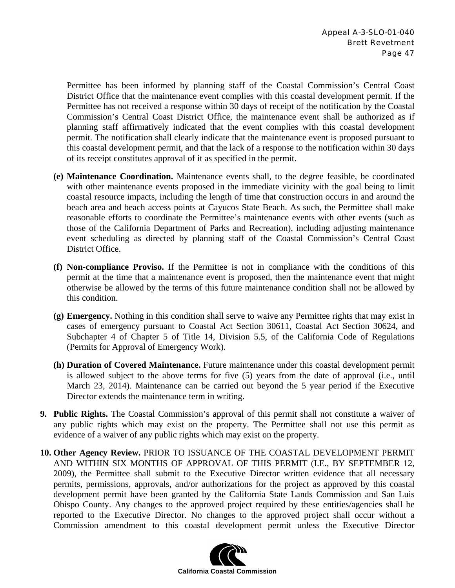Permittee has been informed by planning staff of the Coastal Commission's Central Coast District Office that the maintenance event complies with this coastal development permit. If the Permittee has not received a response within 30 days of receipt of the notification by the Coastal Commission's Central Coast District Office, the maintenance event shall be authorized as if planning staff affirmatively indicated that the event complies with this coastal development permit. The notification shall clearly indicate that the maintenance event is proposed pursuant to this coastal development permit, and that the lack of a response to the notification within 30 days of its receipt constitutes approval of it as specified in the permit.

- **(e) Maintenance Coordination.** Maintenance events shall, to the degree feasible, be coordinated with other maintenance events proposed in the immediate vicinity with the goal being to limit coastal resource impacts, including the length of time that construction occurs in and around the beach area and beach access points at Cayucos State Beach. As such, the Permittee shall make reasonable efforts to coordinate the Permittee's maintenance events with other events (such as those of the California Department of Parks and Recreation), including adjusting maintenance event scheduling as directed by planning staff of the Coastal Commission's Central Coast District Office.
- **(f) Non-compliance Proviso.** If the Permittee is not in compliance with the conditions of this permit at the time that a maintenance event is proposed, then the maintenance event that might otherwise be allowed by the terms of this future maintenance condition shall not be allowed by this condition.
- **(g) Emergency.** Nothing in this condition shall serve to waive any Permittee rights that may exist in cases of emergency pursuant to Coastal Act Section 30611, Coastal Act Section 30624, and Subchapter 4 of Chapter 5 of Title 14, Division 5.5, of the California Code of Regulations (Permits for Approval of Emergency Work).
- **(h) Duration of Covered Maintenance.** Future maintenance under this coastal development permit is allowed subject to the above terms for five (5) years from the date of approval (i.e., until March 23, 2014). Maintenance can be carried out beyond the 5 year period if the Executive Director extends the maintenance term in writing.
- **9. Public Rights.** The Coastal Commission's approval of this permit shall not constitute a waiver of any public rights which may exist on the property. The Permittee shall not use this permit as evidence of a waiver of any public rights which may exist on the property.
- **10. Other Agency Review.** PRIOR TO ISSUANCE OF THE COASTAL DEVELOPMENT PERMIT AND WITHIN SIX MONTHS OF APPROVAL OF THIS PERMIT (I.E., BY SEPTEMBER 12, 2009), the Permittee shall submit to the Executive Director written evidence that all necessary permits, permissions, approvals, and/or authorizations for the project as approved by this coastal development permit have been granted by the California State Lands Commission and San Luis Obispo County. Any changes to the approved project required by these entities/agencies shall be reported to the Executive Director. No changes to the approved project shall occur without a Commission amendment to this coastal development permit unless the Executive Director